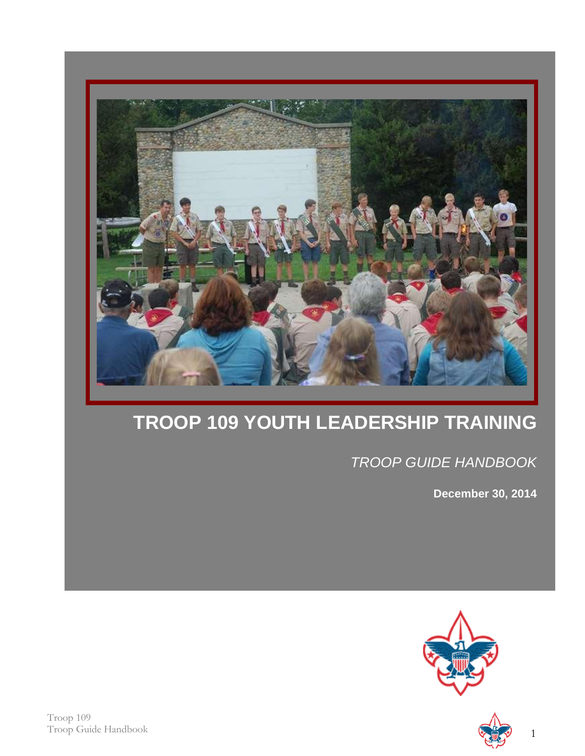

### **TROOP 109 YOUTH LEADERSHIP TRAINING**

*TROOP GUIDE HANDBOOK*

**December 30, 2014**



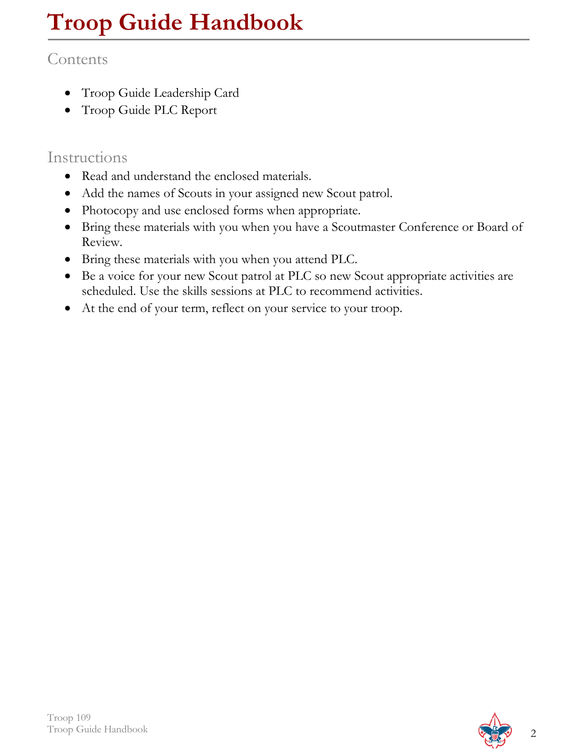### Contents

- Troop Guide Leadership Card
- Troop Guide PLC Report

### Instructions

- Read and understand the enclosed materials.
- Add the names of Scouts in your assigned new Scout patrol.
- Photocopy and use enclosed forms when appropriate.
- Bring these materials with you when you have a Scoutmaster Conference or Board of Review.
- Bring these materials with you when you attend PLC.
- Be a voice for your new Scout patrol at PLC so new Scout appropriate activities are scheduled. Use the skills sessions at PLC to recommend activities.
- At the end of your term, reflect on your service to your troop.

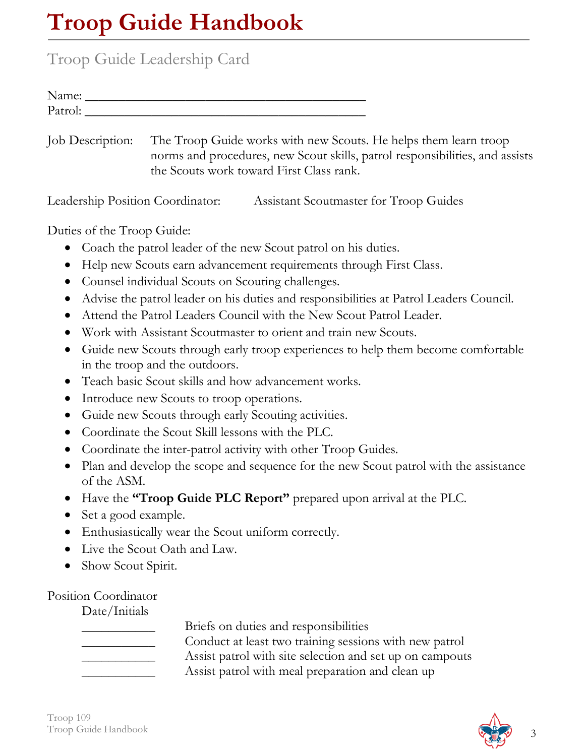### Troop Guide Leadership Card

| Name:   |  |  |  |  |
|---------|--|--|--|--|
| Patrol: |  |  |  |  |

Job Description: The Troop Guide works with new Scouts. He helps them learn troop norms and procedures, new Scout skills, patrol responsibilities, and assists the Scouts work toward First Class rank.

Leadership Position Coordinator: Assistant Scoutmaster for Troop Guides

Duties of the Troop Guide:

- Coach the patrol leader of the new Scout patrol on his duties.
- Help new Scouts earn advancement requirements through First Class.
- Counsel individual Scouts on Scouting challenges.
- Advise the patrol leader on his duties and responsibilities at Patrol Leaders Council.
- Attend the Patrol Leaders Council with the New Scout Patrol Leader.
- Work with Assistant Scoutmaster to orient and train new Scouts.
- Guide new Scouts through early troop experiences to help them become comfortable in the troop and the outdoors.
- Teach basic Scout skills and how advancement works.
- Introduce new Scouts to troop operations.
- Guide new Scouts through early Scouting activities.
- Coordinate the Scout Skill lessons with the PLC.
- Coordinate the inter-patrol activity with other Troop Guides.
- Plan and develop the scope and sequence for the new Scout patrol with the assistance of the ASM.
- Have the **"Troop Guide PLC Report"** prepared upon arrival at the PLC.
- Set a good example.
- Enthusiastically wear the Scout uniform correctly.
- Live the Scout Oath and Law.
- Show Scout Spirit.

#### Position Coordinator

Date/Initials

\_\_\_\_\_\_\_\_\_\_\_ Briefs on duties and responsibilities

Conduct at least two training sessions with new patrol Assist patrol with site selection and set up on campouts Assist patrol with meal preparation and clean up

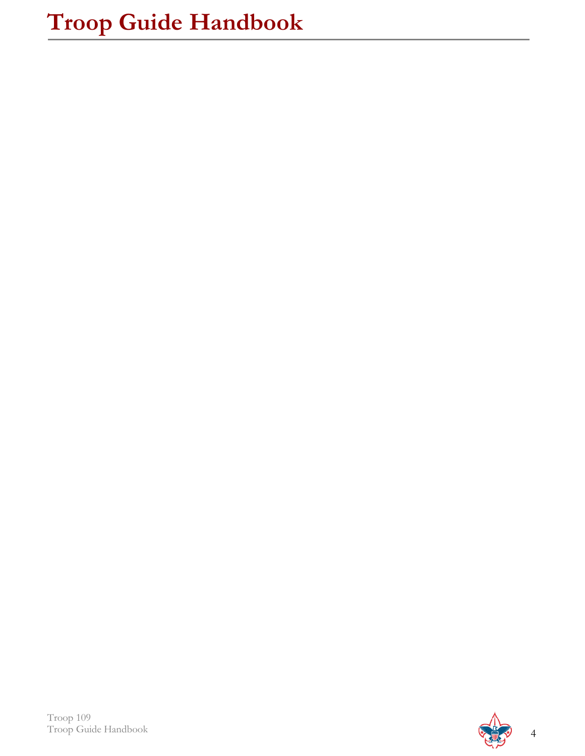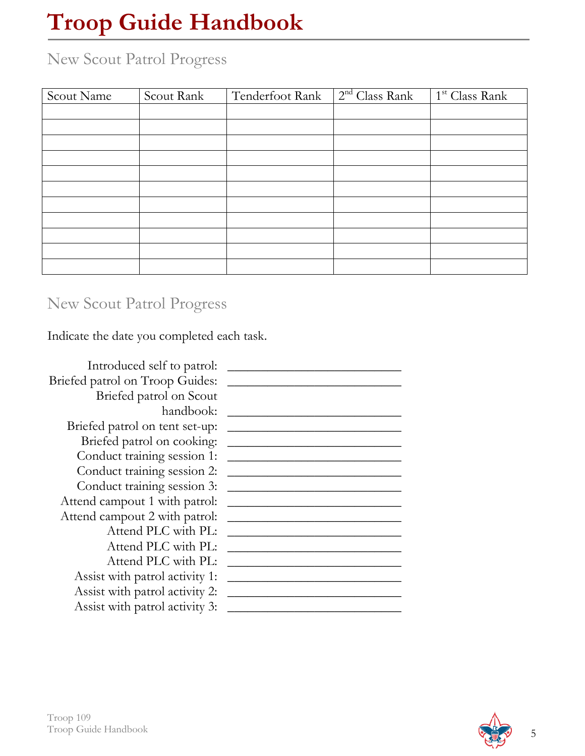### New Scout Patrol Progress

| Scout Name | Scout Rank | Tenderfoot Rank | $2nd$ Class Rank | 1 <sup>st</sup> Class Rank |
|------------|------------|-----------------|------------------|----------------------------|
|            |            |                 |                  |                            |
|            |            |                 |                  |                            |
|            |            |                 |                  |                            |
|            |            |                 |                  |                            |
|            |            |                 |                  |                            |
|            |            |                 |                  |                            |
|            |            |                 |                  |                            |
|            |            |                 |                  |                            |
|            |            |                 |                  |                            |
|            |            |                 |                  |                            |
|            |            |                 |                  |                            |

### New Scout Patrol Progress

Indicate the date you completed each task.

| Introduced self to patrol:      |                                                                                           |
|---------------------------------|-------------------------------------------------------------------------------------------|
| Briefed patrol on Troop Guides: |                                                                                           |
| Briefed patrol on Scout         |                                                                                           |
| handbook:                       |                                                                                           |
| Briefed patrol on tent set-up:  |                                                                                           |
| Briefed patrol on cooking:      | the control of the control of the control of the control of the control of the control of |
| Conduct training session 1:     | <u> 1989 - Jan Barnett, fransk politik (d. 1989)</u>                                      |
| Conduct training session 2:     |                                                                                           |
| Conduct training session 3:     | the control of the control of the control of the                                          |
| Attend campout 1 with patrol:   |                                                                                           |
| Attend campout 2 with patrol:   | the control of the control of the control of the control of the control of the control of |
| Attend PLC with PL:             |                                                                                           |
| Attend PLC with PL:             |                                                                                           |
| Attend PLC with PL:             |                                                                                           |
| Assist with patrol activity 1:  |                                                                                           |
| Assist with patrol activity 2:  |                                                                                           |
| Assist with patrol activity 3:  |                                                                                           |
|                                 |                                                                                           |

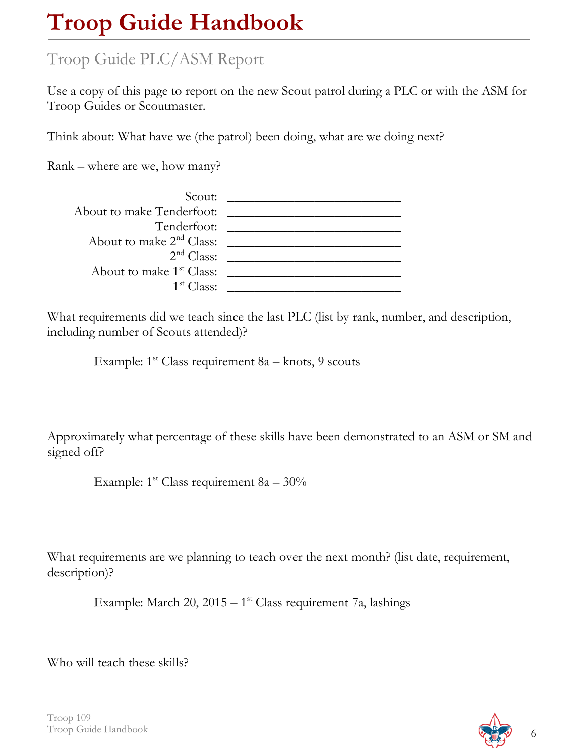### Troop Guide PLC/ASM Report

Use a copy of this page to report on the new Scout patrol during a PLC or with the ASM for Troop Guides or Scoutmaster.

Think about: What have we (the patrol) been doing, what are we doing next?

Rank – where are we, how many?

| Scout:                               |  |
|--------------------------------------|--|
| About to make Tenderfoot:            |  |
| Tenderfoot:                          |  |
| About to make 2 <sup>nd</sup> Class: |  |
| 2 <sup>nd</sup> Class:               |  |
| About to make 1 <sup>st</sup> Class: |  |
| 1 <sup>st</sup> Class:               |  |
|                                      |  |

What requirements did we teach since the last PLC (list by rank, number, and description, including number of Scouts attended)?

Example:  $1<sup>st</sup>$  Class requirement 8a – knots, 9 scouts

Approximately what percentage of these skills have been demonstrated to an ASM or SM and signed off?

Example:  $1^{st}$  Class requirement  $8a - 30\%$ 

What requirements are we planning to teach over the next month? (list date, requirement, description)?

Example: March 20,  $2015 - 1$ <sup>st</sup> Class requirement 7a, lashings

Who will teach these skills?

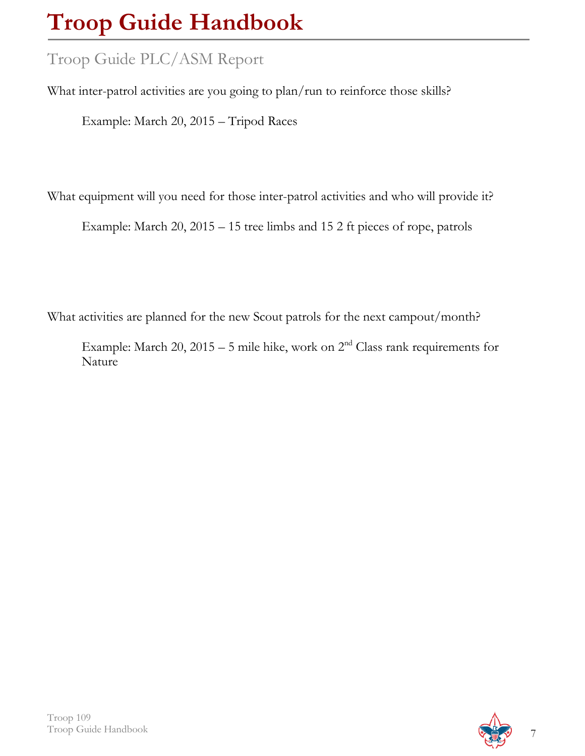### Troop Guide PLC/ASM Report

What inter-patrol activities are you going to plan/run to reinforce those skills?

Example: March 20, 2015 – Tripod Races

What equipment will you need for those inter-patrol activities and who will provide it?

Example: March 20, 2015 – 15 tree limbs and 15 2 ft pieces of rope, patrols

What activities are planned for the new Scout patrols for the next campout/month?

Example: March 20, 2015 – 5 mile hike, work on  $2<sup>nd</sup>$  Class rank requirements for Nature

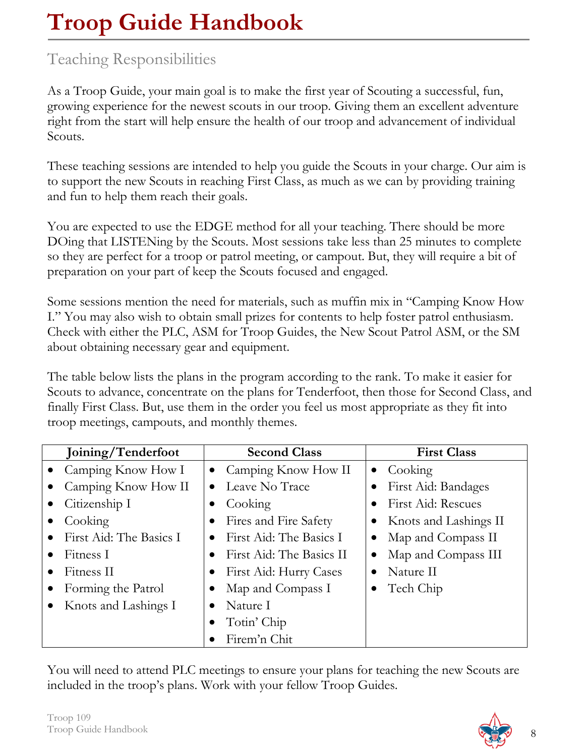### Teaching Responsibilities

As a Troop Guide, your main goal is to make the first year of Scouting a successful, fun, growing experience for the newest scouts in our troop. Giving them an excellent adventure right from the start will help ensure the health of our troop and advancement of individual Scouts.

These teaching sessions are intended to help you guide the Scouts in your charge. Our aim is to support the new Scouts in reaching First Class, as much as we can by providing training and fun to help them reach their goals.

You are expected to use the EDGE method for all your teaching. There should be more DOing that LISTENing by the Scouts. Most sessions take less than 25 minutes to complete so they are perfect for a troop or patrol meeting, or campout. But, they will require a bit of preparation on your part of keep the Scouts focused and engaged.

Some sessions mention the need for materials, such as muffin mix in "Camping Know How I." You may also wish to obtain small prizes for contents to help foster patrol enthusiasm. Check with either the PLC, ASM for Troop Guides, the New Scout Patrol ASM, or the SM about obtaining necessary gear and equipment.

The table below lists the plans in the program according to the rank. To make it easier for Scouts to advance, concentrate on the plans for Tenderfoot, then those for Second Class, and finally First Class. But, use them in the order you feel us most appropriate as they fit into troop meetings, campouts, and monthly themes.

| Joining/Tenderfoot      | <b>Second Class</b>                 | <b>First Class</b>               |
|-------------------------|-------------------------------------|----------------------------------|
| • Camping Know How I    | • Camping Know How II               | Cooking<br>$\bullet$             |
| Camping Know How II     | Leave No Trace<br>$\bullet$         | First Aid: Bandages              |
| Citizenship I           | Cooking<br>$\bullet$                | <b>First Aid: Rescues</b>        |
| Cooking                 | Fires and Fire Safety               | Knots and Lashings II            |
| First Aid: The Basics I | First Aid: The Basics I             | Map and Compass II<br>$\bullet$  |
| Fitness I               | First Aid: The Basics II            | Map and Compass III<br>$\bullet$ |
| Fitness II              | First Aid: Hurry Cases<br>$\bullet$ | Nature II<br>$\bullet$           |
| Forming the Patrol      | Map and Compass I                   | Tech Chip<br>$\bullet$           |
| Knots and Lashings I    | Nature I                            |                                  |
|                         | Totin' Chip                         |                                  |
|                         | Firem'n Chit                        |                                  |

You will need to attend PLC meetings to ensure your plans for teaching the new Scouts are included in the troop's plans. Work with your fellow Troop Guides.

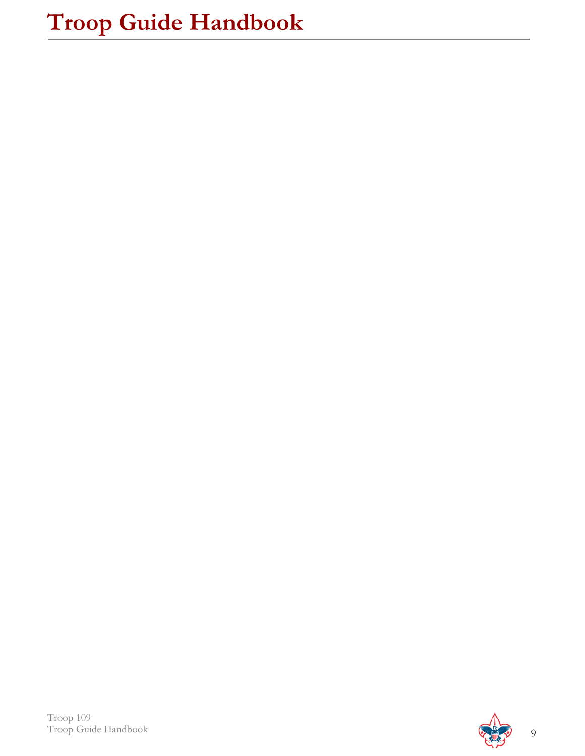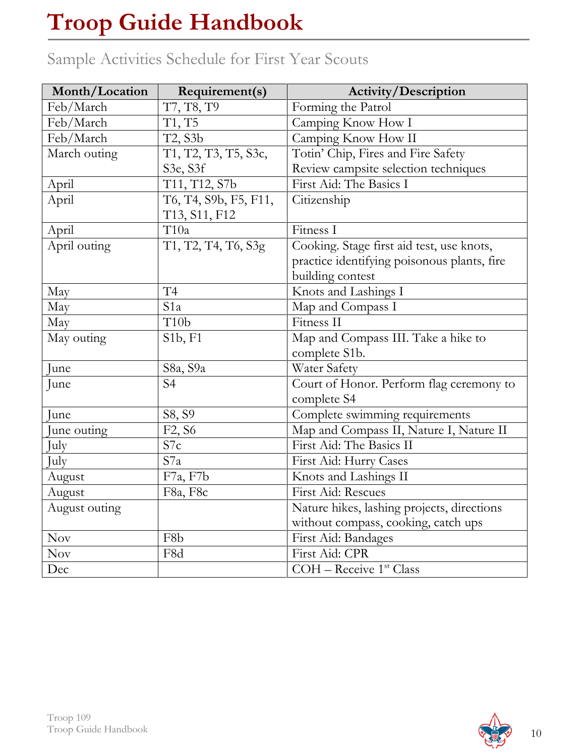| Month/Location                               | Requirement(s)         | <b>Activity/Description</b>                 |  |  |  |  |
|----------------------------------------------|------------------------|---------------------------------------------|--|--|--|--|
| Feb/March                                    | T7, T8, T9             | Forming the Patrol                          |  |  |  |  |
| Feb/March<br>T <sub>1</sub> , T <sub>5</sub> |                        | Camping Know How I                          |  |  |  |  |
| Feb/March                                    | T2, S3b                | Camping Know How II                         |  |  |  |  |
| March outing                                 | T1, T2, T3, T5, S3c,   | Totin' Chip, Fires and Fire Safety          |  |  |  |  |
|                                              | S3e, S3f               | Review campsite selection techniques        |  |  |  |  |
| April                                        | T11, T12, S7b          | First Aid: The Basics I                     |  |  |  |  |
| April                                        | T6, T4, S9b, F5, F11,  | Citizenship                                 |  |  |  |  |
|                                              | T13, S11, F12          |                                             |  |  |  |  |
| April                                        | T10a                   | Fitness I                                   |  |  |  |  |
| April outing                                 | T1, T2, T4, T6, S3g    | Cooking. Stage first aid test, use knots,   |  |  |  |  |
|                                              |                        | practice identifying poisonous plants, fire |  |  |  |  |
|                                              |                        | building contest                            |  |  |  |  |
| May                                          | T <sub>4</sub>         | Knots and Lashings I                        |  |  |  |  |
| May                                          | S <sub>1</sub> a       | Map and Compass I                           |  |  |  |  |
| May                                          | T <sub>10</sub> b      | Fitness II                                  |  |  |  |  |
| May outing                                   | S1b, F1                | Map and Compass III. Take a hike to         |  |  |  |  |
|                                              |                        | complete S1b.                               |  |  |  |  |
| June                                         | S8a, S9a               | Water Safety                                |  |  |  |  |
| June                                         | S <sub>4</sub>         | Court of Honor. Perform flag ceremony to    |  |  |  |  |
|                                              |                        | complete S4                                 |  |  |  |  |
| June                                         | S8, S9                 | Complete swimming requirements              |  |  |  |  |
| June outing                                  | E2, 86                 | Map and Compass II, Nature I, Nature II     |  |  |  |  |
| July                                         | S7c                    | First Aid: The Basics II                    |  |  |  |  |
| July                                         | S7a                    | First Aid: Hurry Cases                      |  |  |  |  |
| August                                       | $\overline{F7a}$ , F7b | Knots and Lashings II                       |  |  |  |  |
| August                                       | F8a, F8c               | First Aid: Rescues                          |  |  |  |  |
| August outing                                |                        | Nature hikes, lashing projects, directions  |  |  |  |  |
|                                              |                        | without compass, cooking, catch ups         |  |  |  |  |
| Nov                                          | F8b                    | First Aid: Bandages                         |  |  |  |  |
| Nov                                          | F8d                    | First Aid: CPR                              |  |  |  |  |
| Dec                                          |                        | COH - Receive 1 <sup>st</sup> Class         |  |  |  |  |

Sample Activities Schedule for First Year Scouts

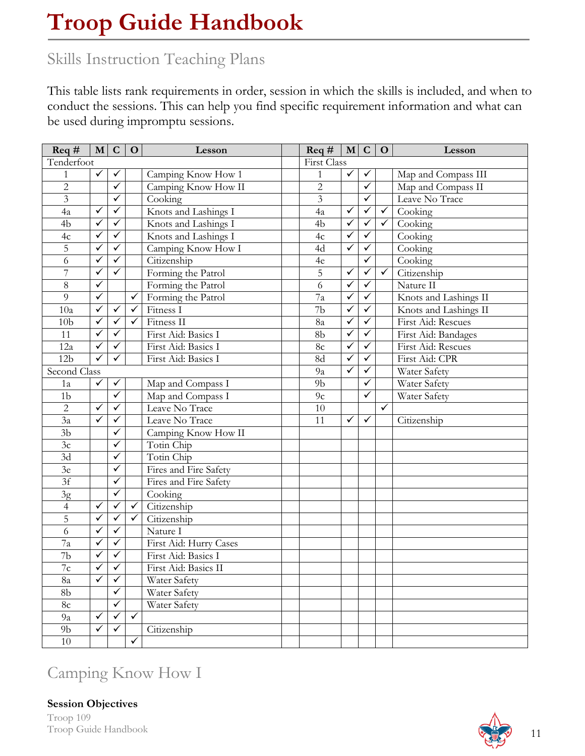### Skills Instruction Teaching Plans

This table lists rank requirements in order, session in which the skills is included, and when to conduct the sessions. This can help you find specific requirement information and what can be used during impromptu sessions.

| $\text{Req} \#$ | $\mathbf{M}$            | $\mathbf C$             | $\mathbf{O}$ | Lesson                 | $\text{Req} \#$         | $\mathbf{M}$ | $\mathbf C$             | $\mathbf{O}$         | Lesson                |
|-----------------|-------------------------|-------------------------|--------------|------------------------|-------------------------|--------------|-------------------------|----------------------|-----------------------|
| Tenderfoot      |                         |                         |              |                        | <b>First Class</b>      |              |                         |                      |                       |
| 1               | $\checkmark$            | ✓                       |              | Camping Know How 1     | 1                       | $\checkmark$ | ✓                       |                      | Map and Compass III   |
| $\overline{2}$  |                         | $\overline{\checkmark}$ |              | Camping Know How II    | $\overline{2}$          |              | $\blacktriangledown$    |                      | Map and Compass II    |
| 3               |                         | $\overline{\checkmark}$ |              | Cooking                | $\overline{\mathbf{3}}$ |              | $\blacktriangledown$    |                      | Leave No Trace        |
| 4a              | $\checkmark$            | $\checkmark$            |              | Knots and Lashings I   | 4a                      | $\checkmark$ | $\overline{\checkmark}$ | $\checkmark$         | Cooking               |
| 4b              | $\checkmark$            | $\checkmark$            |              | Knots and Lashings I   | 4b                      | ✓            | $\checkmark$            | $\checkmark$         | Cooking               |
| 4c              | $\checkmark$            | $\checkmark$            |              | Knots and Lashings I   | 4c                      | ✓            | $\overline{\checkmark}$ |                      | Cooking               |
| $\overline{5}$  | ✓                       | ✓                       |              | Camping Know How I     | 4d                      | ✓            | ✓                       |                      | Cooking               |
| 6               | $\checkmark$            | ✓                       |              | Citizenship            | 4e                      |              | ✓                       |                      | Cooking               |
| $\overline{7}$  | $\checkmark$            | $\overline{\checkmark}$ |              | Forming the Patrol     | $\overline{5}$          | $\checkmark$ | $\overline{\checkmark}$ | $\blacktriangledown$ | Citizenship           |
| 8               | $\overline{\checkmark}$ |                         |              | Forming the Patrol     | 6                       | $\checkmark$ | $\blacktriangledown$    |                      | Nature II             |
| $\overline{9}$  | $\checkmark$            |                         | $\checkmark$ | Forming the Patrol     | $\overline{7a}$         | $\checkmark$ | $\checkmark$            |                      | Knots and Lashings II |
| 10a             | $\checkmark$            | $\checkmark$            | $\checkmark$ | Fitness I              | 7 <sub>b</sub>          | ✓            | $\checkmark$            |                      | Knots and Lashings II |
| 10 <sub>b</sub> | $\checkmark$            | $\checkmark$            | $\checkmark$ | Fitness II             | <b>8a</b>               | $\checkmark$ | $\checkmark$            |                      | First Aid: Rescues    |
| $\overline{11}$ | ✓                       | ✓                       |              | First Aid: Basics I    | 8 <sub>b</sub>          | ✓            | $\checkmark$            |                      | First Aid: Bandages   |
| 12a             | $\checkmark$            | ✓                       |              | First Aid: Basics I    | 8c                      | $\checkmark$ | $\checkmark$            |                      | First Aid: Rescues    |
| 12 <sub>b</sub> | $\checkmark$            | $\checkmark$            |              | First Aid: Basics I    | 8d                      | $\sqrt{}$    | $\overline{\checkmark}$ |                      | First Aid: CPR        |
| Second Class    |                         |                         | 9a           | ✓                      | $\checkmark$            |              | Water Safety            |                      |                       |
| 1a              | $\checkmark$            | $\checkmark$            |              | Map and Compass I      | 9 <sub>b</sub>          |              | $\checkmark$            |                      | Water Safety          |
| 1 <sub>b</sub>  |                         | $\checkmark$            |              | Map and Compass I      | 9c                      |              | $\checkmark$            |                      | Water Safety          |
| $\overline{2}$  | $\checkmark$            | $\checkmark$            |              | Leave No Trace         | 10                      |              |                         | ✓                    |                       |
| 3a              | ✓                       | ✓                       |              | Leave No Trace         | 11                      | ✓            | $\checkmark$            |                      | Citizenship           |
| 3 <sub>b</sub>  |                         | $\checkmark$            |              | Camping Know How II    |                         |              |                         |                      |                       |
| 3c              |                         | $\checkmark$            |              | Totin Chip             |                         |              |                         |                      |                       |
| 3d              |                         | $\checkmark$            |              | Totin Chip             |                         |              |                         |                      |                       |
| 3e              |                         | ✓                       |              | Fires and Fire Safety  |                         |              |                         |                      |                       |
| 3f              |                         | $\checkmark$            |              | Fires and Fire Safety  |                         |              |                         |                      |                       |
| 3g              |                         | $\checkmark$            |              | Cooking                |                         |              |                         |                      |                       |
| $\overline{4}$  | ✓                       | ✓                       | $\checkmark$ | Citizenship            |                         |              |                         |                      |                       |
| $\overline{5}$  | $\checkmark$            | $\checkmark$            | $\checkmark$ | Citizenship            |                         |              |                         |                      |                       |
| 6               | $\overline{\checkmark}$ | $\checkmark$            |              | Nature I               |                         |              |                         |                      |                       |
| 7a              | $\checkmark$            | $\checkmark$            |              | First Aid: Hurry Cases |                         |              |                         |                      |                       |
| $\overline{7b}$ | $\checkmark$            | ✓                       |              | First Aid: Basics I    |                         |              |                         |                      |                       |
| 7c              | $\checkmark$            | $\checkmark$            |              | First Aid: Basics II   |                         |              |                         |                      |                       |
| <b>8a</b>       | $\checkmark$            | $\checkmark$            |              | Water Safety           |                         |              |                         |                      |                       |
| 8 <sub>b</sub>  |                         | ✓                       |              | Water Safety           |                         |              |                         |                      |                       |
| 8c              |                         | $\checkmark$            |              | Water Safety           |                         |              |                         |                      |                       |
| 9a              | $\checkmark$            | $\checkmark$            | $\checkmark$ |                        |                         |              |                         |                      |                       |
| 9 <sub>b</sub>  | $\checkmark$            | $\checkmark$            |              | Citizenship            |                         |              |                         |                      |                       |
| $10\,$          |                         |                         | $\checkmark$ |                        |                         |              |                         |                      |                       |

### Camping Know How I

Troop 109 Troop Guide Handbook 11 **Session Objectives**

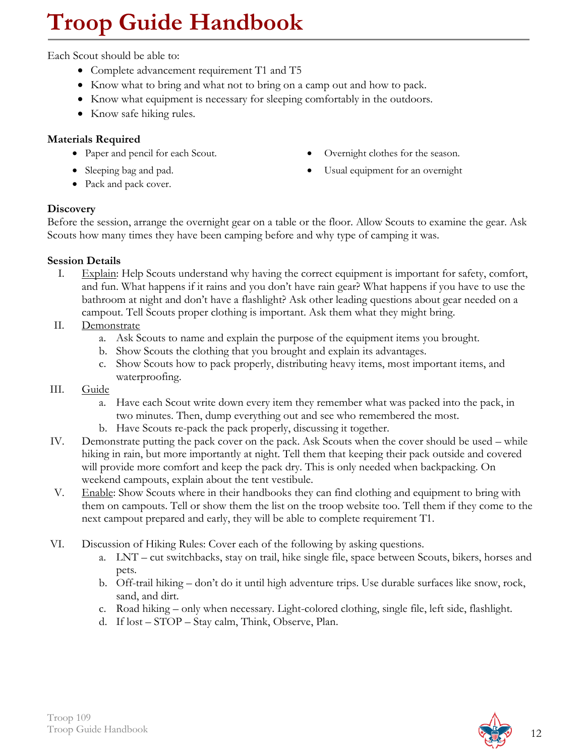Each Scout should be able to:

- Complete advancement requirement T1 and T5
- Know what to bring and what not to bring on a camp out and how to pack.
- Know what equipment is necessary for sleeping comfortably in the outdoors.
- Know safe hiking rules.

#### **Materials Required**

- 
- 
- Pack and pack cover.
- Paper and pencil for each Scout. Overnight clothes for the season.
- Sleeping bag and pad. Usual equipment for an overnight

#### **Discovery**

Before the session, arrange the overnight gear on a table or the floor. Allow Scouts to examine the gear. Ask Scouts how many times they have been camping before and why type of camping it was.

#### **Session Details**

- I. Explain: Help Scouts understand why having the correct equipment is important for safety, comfort, and fun. What happens if it rains and you don't have rain gear? What happens if you have to use the bathroom at night and don't have a flashlight? Ask other leading questions about gear needed on a campout. Tell Scouts proper clothing is important. Ask them what they might bring.
- II. Demonstrate
	- a. Ask Scouts to name and explain the purpose of the equipment items you brought.
	- b. Show Scouts the clothing that you brought and explain its advantages.
	- c. Show Scouts how to pack properly, distributing heavy items, most important items, and waterproofing.

#### III. Guide

- a. Have each Scout write down every item they remember what was packed into the pack, in two minutes. Then, dump everything out and see who remembered the most.
- b. Have Scouts re-pack the pack properly, discussing it together.
- IV. Demonstrate putting the pack cover on the pack. Ask Scouts when the cover should be used while hiking in rain, but more importantly at night. Tell them that keeping their pack outside and covered will provide more comfort and keep the pack dry. This is only needed when backpacking. On weekend campouts, explain about the tent vestibule.
- V. Enable: Show Scouts where in their handbooks they can find clothing and equipment to bring with them on campouts. Tell or show them the list on the troop website too. Tell them if they come to the next campout prepared and early, they will be able to complete requirement T1.
- VI. Discussion of Hiking Rules: Cover each of the following by asking questions.
	- a. LNT cut switchbacks, stay on trail, hike single file, space between Scouts, bikers, horses and pets.
	- b. Off-trail hiking don't do it until high adventure trips. Use durable surfaces like snow, rock, sand, and dirt.
	- c. Road hiking only when necessary. Light-colored clothing, single file, left side, flashlight.
	- d. If lost STOP Stay calm, Think, Observe, Plan.

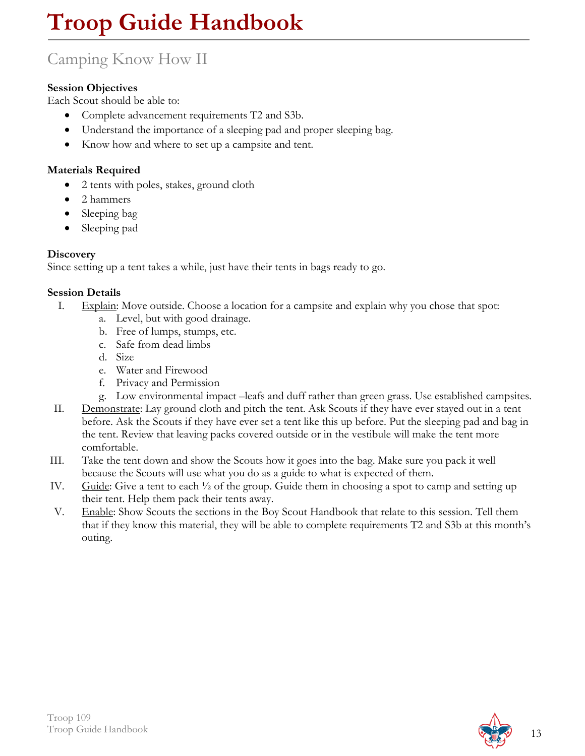### Camping Know How II

#### **Session Objectives**

Each Scout should be able to:

- Complete advancement requirements T2 and S3b.
- Understand the importance of a sleeping pad and proper sleeping bag.
- Know how and where to set up a campsite and tent.

#### **Materials Required**

- 2 tents with poles, stakes, ground cloth
- 2 hammers
- Sleeping bag
- Sleeping pad

#### **Discovery**

Since setting up a tent takes a while, just have their tents in bags ready to go.

#### **Session Details**

- I. Explain: Move outside. Choose a location for a campsite and explain why you chose that spot:
	- a. Level, but with good drainage.
	- b. Free of lumps, stumps, etc.
	- c. Safe from dead limbs
	- d. Size
	- e. Water and Firewood
	- f. Privacy and Permission
	- g. Low environmental impact –leafs and duff rather than green grass. Use established campsites.
- II. Demonstrate: Lay ground cloth and pitch the tent. Ask Scouts if they have ever stayed out in a tent before. Ask the Scouts if they have ever set a tent like this up before. Put the sleeping pad and bag in the tent. Review that leaving packs covered outside or in the vestibule will make the tent more comfortable.
- III. Take the tent down and show the Scouts how it goes into the bag. Make sure you pack it well because the Scouts will use what you do as a guide to what is expected of them.
- IV. Guide: Give a tent to each ½ of the group. Guide them in choosing a spot to camp and setting up their tent. Help them pack their tents away.
- V. Enable: Show Scouts the sections in the Boy Scout Handbook that relate to this session. Tell them that if they know this material, they will be able to complete requirements T2 and S3b at this month's outing.

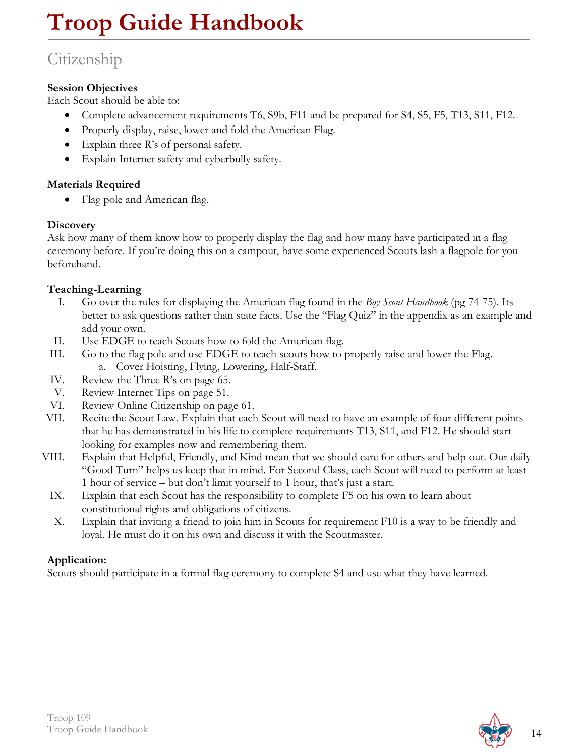### **Citizenship**

#### **Session Objectives**

Each Scout should be able to:

- Complete advancement requirements T6, S9b, F11 and be prepared for S4, S5, F5, T13, S11, F12.
- Properly display, raise, lower and fold the American Flag.
- Explain three R's of personal safety.
- Explain Internet safety and cyberbully safety.

#### **Materials Required**

• Flag pole and American flag.

#### **Discovery**

Ask how many of them know how to properly display the flag and how many have participated in a flag ceremony before. If you're doing this on a campout, have some experienced Scouts lash a flagpole for you beforehand.

#### **Teaching-Learning**

- I. Go over the rules for displaying the American flag found in the *Boy Scout Handbook* (pg 74-75). Its better to ask questions rather than state facts. Use the "Flag Quiz" in the appendix as an example and add your own.
- II. Use EDGE to teach Scouts how to fold the American flag.
- III. Go to the flag pole and use EDGE to teach scouts how to properly raise and lower the Flag. a. Cover Hoisting, Flying, Lowering, Half-Staff.
- IV. Review the Three R's on page 65.
- V. Review Internet Tips on page 51.
- VI. Review Online Citizenship on page 61.
- VII. Recite the Scout Law. Explain that each Scout will need to have an example of four different points that he has demonstrated in his life to complete requirements T13, S11, and F12. He should start looking for examples now and remembering them.
- VIII. Explain that Helpful, Friendly, and Kind mean that we should care for others and help out. Our daily "Good Turn" helps us keep that in mind. For Second Class, each Scout will need to perform at least 1 hour of service – but don't limit yourself to 1 hour, that's just a start.
	- IX. Explain that each Scout has the responsibility to complete F5 on his own to learn about constitutional rights and obligations of citizens.
	- X. Explain that inviting a friend to join him in Scouts for requirement F10 is a way to be friendly and loyal. He must do it on his own and discuss it with the Scoutmaster.

#### **Application:**

Scouts should participate in a formal flag ceremony to complete S4 and use what they have learned.



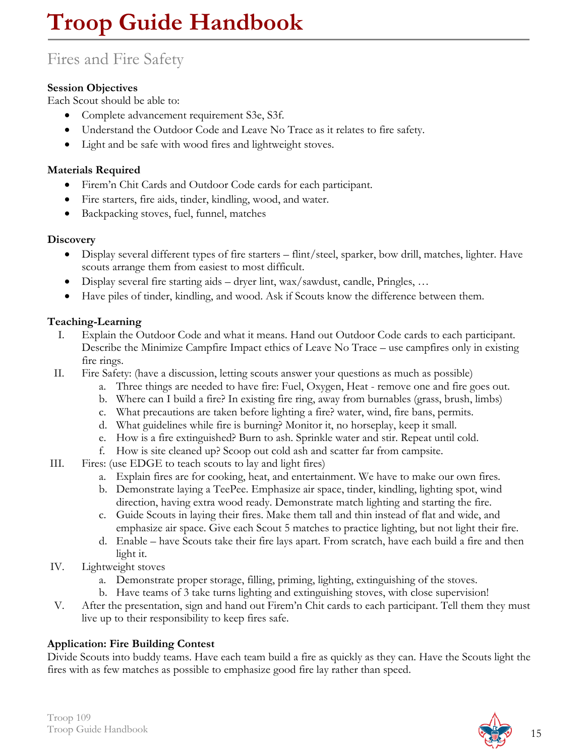### Fires and Fire Safety

#### **Session Objectives**

Each Scout should be able to:

- Complete advancement requirement S3e, S3f.
- Understand the Outdoor Code and Leave No Trace as it relates to fire safety.
- Light and be safe with wood fires and lightweight stoves.

#### **Materials Required**

- Firem'n Chit Cards and Outdoor Code cards for each participant.
- Fire starters, fire aids, tinder, kindling, wood, and water.
- Backpacking stoves, fuel, funnel, matches

#### **Discovery**

- Display several different types of fire starters flint/steel, sparker, bow drill, matches, lighter. Have scouts arrange them from easiest to most difficult.
- Display several fire starting aids dryer lint, wax/sawdust, candle, Pringles, …
- Have piles of tinder, kindling, and wood. Ask if Scouts know the difference between them.

#### **Teaching-Learning**

- I. Explain the Outdoor Code and what it means. Hand out Outdoor Code cards to each participant. Describe the Minimize Campfire Impact ethics of Leave No Trace – use campfires only in existing fire rings.
- II. Fire Safety: (have a discussion, letting scouts answer your questions as much as possible)
	- a. Three things are needed to have fire: Fuel, Oxygen, Heat remove one and fire goes out.
	- b. Where can I build a fire? In existing fire ring, away from burnables (grass, brush, limbs)
	- c. What precautions are taken before lighting a fire? water, wind, fire bans, permits.
	- d. What guidelines while fire is burning? Monitor it, no horseplay, keep it small.
	- e. How is a fire extinguished? Burn to ash. Sprinkle water and stir. Repeat until cold.
	- f. How is site cleaned up? Scoop out cold ash and scatter far from campsite.
- III. Fires: (use EDGE to teach scouts to lay and light fires)
	- a. Explain fires are for cooking, heat, and entertainment. We have to make our own fires.
	- b. Demonstrate laying a TeePee. Emphasize air space, tinder, kindling, lighting spot, wind direction, having extra wood ready. Demonstrate match lighting and starting the fire.
	- c. Guide Scouts in laying their fires. Make them tall and thin instead of flat and wide, and emphasize air space. Give each Scout 5 matches to practice lighting, but not light their fire.
	- d. Enable have Scouts take their fire lays apart. From scratch, have each build a fire and then light it.
- IV. Lightweight stoves
	- a. Demonstrate proper storage, filling, priming, lighting, extinguishing of the stoves.
	- b. Have teams of 3 take turns lighting and extinguishing stoves, with close supervision!
- V. After the presentation, sign and hand out Firem'n Chit cards to each participant. Tell them they must live up to their responsibility to keep fires safe.

#### **Application: Fire Building Contest**

Divide Scouts into buddy teams. Have each team build a fire as quickly as they can. Have the Scouts light the fires with as few matches as possible to emphasize good fire lay rather than speed.

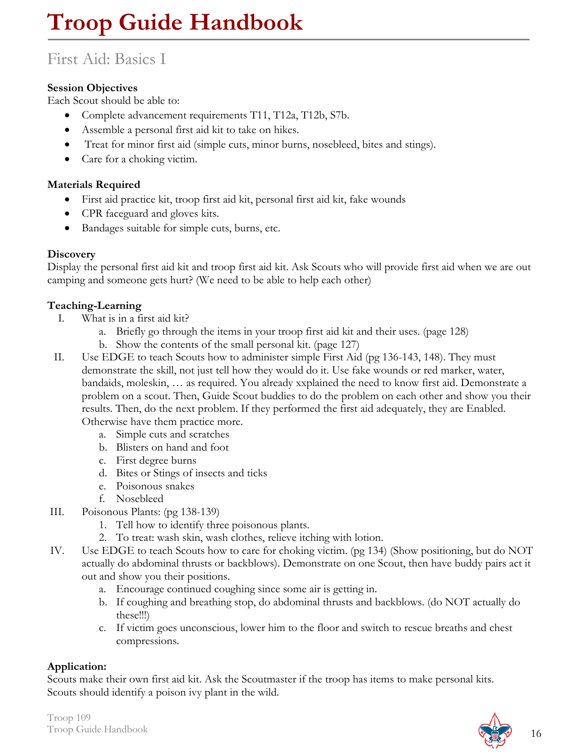### First Aid: Basics I

#### **Session Objectives**

Each Scout should be able to:

- Complete advancement requirements T11, T12a, T12b, S7b.
- Assemble a personal first aid kit to take on hikes.
- Treat for minor first aid (simple cuts, minor burns, nosebleed, bites and stings).
- Care for a choking victim.

#### **Materials Required**

- First aid practice kit, troop first aid kit, personal first aid kit, fake wounds
- CPR faceguard and gloves kits.
- Bandages suitable for simple cuts, burns, etc.

#### **Discovery**

Display the personal first aid kit and troop first aid kit. Ask Scouts who will provide first aid when we are out camping and someone gets hurt? (We need to be able to help each other)

#### **Teaching-Learning**

- I. What is in a first aid kit?
	- a. Briefly go through the items in your troop first aid kit and their uses. (page 128)
	- b. Show the contents of the small personal kit. (page 127)
- II. Use EDGE to teach Scouts how to administer simple First Aid (pg 136-143, 148). They must demonstrate the skill, not just tell how they would do it. Use fake wounds or red marker, water, bandaids, moleskin, … as required. You already xxplained the need to know first aid. Demonstrate a problem on a scout. Then, Guide Scout buddies to do the problem on each other and show you their results. Then, do the next problem. If they performed the first aid adequately, they are Enabled. Otherwise have them practice more.
	- a. Simple cuts and scratches
	- b. Blisters on hand and foot
	- c. First degree burns
	- d. Bites or Stings of insects and ticks
	- e. Poisonous snakes
	- f. Nosebleed
- III. Poisonous Plants: (pg 138-139)
	- 1. Tell how to identify three poisonous plants.
	- 2. To treat: wash skin, wash clothes, relieve itching with lotion.
- IV. Use EDGE to teach Scouts how to care for choking victim. (pg 134) (Show positioning, but do NOT actually do abdominal thrusts or backblows). Demonstrate on one Scout, then have buddy pairs act it out and show you their positions.
	- a. Encourage continued coughing since some air is getting in.
	- b. If coughing and breathing stop, do abdominal thrusts and backblows. (do NOT actually do these!!!)
	- c. If victim goes unconscious, lower him to the floor and switch to rescue breaths and chest compressions.

#### **Application:**

Scouts make their own first aid kit. Ask the Scoutmaster if the troop has items to make personal kits. Scouts should identify a poison ivy plant in the wild.

Troop 109 Troop Guide Handbook 16 and 16 and 16 and 16 and 16 and 16 and 16 and 16 and 16 and 16 and 16 and 16 and 16 and 16 and 16 and 16 and 16 and 16 and 16 and 16 and 16 and 16 and 16 and 16 and 16 and 16 and 16 and 16 and 16 an

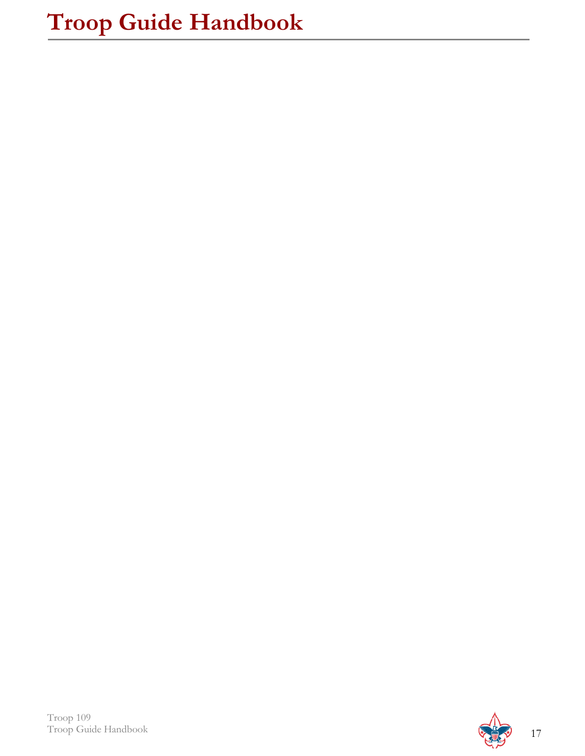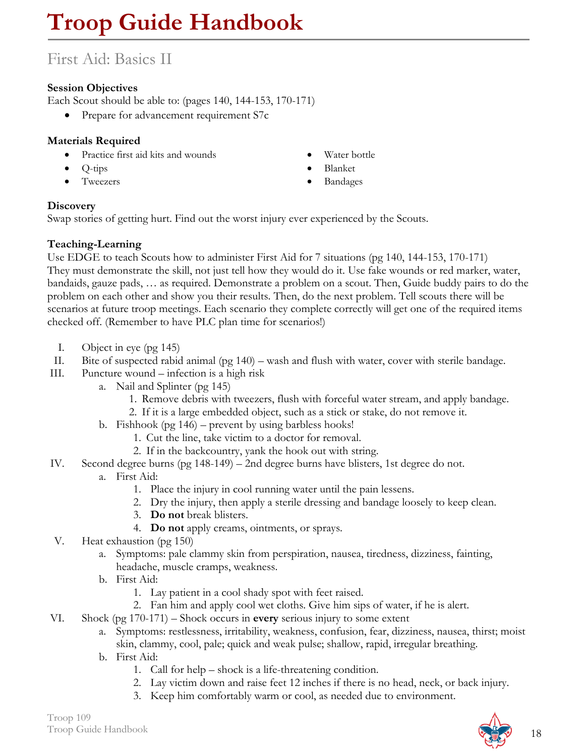### First Aid: Basics II

#### **Session Objectives**

Each Scout should be able to: (pages 140, 144-153, 170-171)

Prepare for advancement requirement S7c

#### **Materials Required**

- Practice first aid kits and wounds
- Q-tips
- Tweezers
- Water bottle
- Blanket
- Bandages

#### **Discovery**

Swap stories of getting hurt. Find out the worst injury ever experienced by the Scouts.

#### **Teaching-Learning**

Use EDGE to teach Scouts how to administer First Aid for 7 situations (pg 140, 144-153, 170-171) They must demonstrate the skill, not just tell how they would do it. Use fake wounds or red marker, water, bandaids, gauze pads, … as required. Demonstrate a problem on a scout. Then, Guide buddy pairs to do the problem on each other and show you their results. Then, do the next problem. Tell scouts there will be scenarios at future troop meetings. Each scenario they complete correctly will get one of the required items checked off. (Remember to have PLC plan time for scenarios!)

- I. Object in eye (pg 145)
- II. Bite of suspected rabid animal (pg 140) wash and flush with water, cover with sterile bandage.
- III. Puncture wound infection is a high risk
	- a. Nail and Splinter (pg 145)
		- 1. Remove debris with tweezers, flush with forceful water stream, and apply bandage.
		- 2. If it is a large embedded object, such as a stick or stake, do not remove it.
	- b. Fishhook (pg 146) prevent by using barbless hooks!
		- 1. Cut the line, take victim to a doctor for removal.
		- 2. If in the backcountry, yank the hook out with string.
- IV. Second degree burns (pg 148-149) 2nd degree burns have blisters, 1st degree do not.
	- a. First Aid:
		- 1. Place the injury in cool running water until the pain lessens.
		- 2. Dry the injury, then apply a sterile dressing and bandage loosely to keep clean.
		- 3. **Do not** break blisters.
		- 4. **Do not** apply creams, ointments, or sprays.
- V. Heat exhaustion (pg 150)
	- a. Symptoms: pale clammy skin from perspiration, nausea, tiredness, dizziness, fainting, headache, muscle cramps, weakness.
	- b. First Aid:
		- 1. Lay patient in a cool shady spot with feet raised.
		- 2. Fan him and apply cool wet cloths. Give him sips of water, if he is alert.
- VI. Shock (pg 170-171) Shock occurs in **every** serious injury to some extent
	- a. Symptoms: restlessness, irritability, weakness, confusion, fear, dizziness, nausea, thirst; moist skin, clammy, cool, pale; quick and weak pulse; shallow, rapid, irregular breathing.
	- b. First Aid:
		- 1. Call for help shock is a life-threatening condition.
		- 2. Lay victim down and raise feet 12 inches if there is no head, neck, or back injury.
		- 3. Keep him comfortably warm or cool, as needed due to environment.

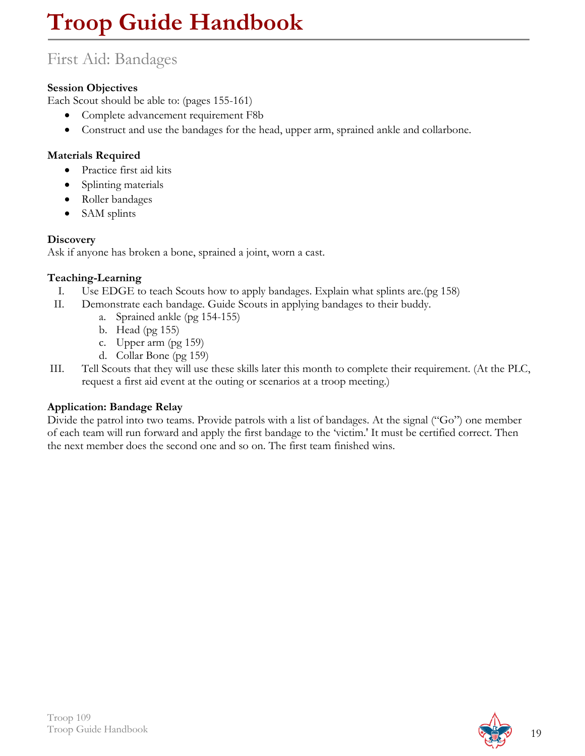### First Aid: Bandages

#### **Session Objectives**

Each Scout should be able to: (pages 155-161)

- Complete advancement requirement F8b
- Construct and use the bandages for the head, upper arm, sprained ankle and collarbone.

#### **Materials Required**

- Practice first aid kits
- Splinting materials
- Roller bandages
- SAM splints

#### **Discovery**

Ask if anyone has broken a bone, sprained a joint, worn a cast.

#### **Teaching-Learning**

- I. Use EDGE to teach Scouts how to apply bandages. Explain what splints are.(pg 158)
- II. Demonstrate each bandage. Guide Scouts in applying bandages to their buddy.
	- a. Sprained ankle (pg 154-155)
	- b. Head (pg 155)
	- c. Upper arm (pg 159)
	- d. Collar Bone (pg 159)
- III. Tell Scouts that they will use these skills later this month to complete their requirement. (At the PLC, request a first aid event at the outing or scenarios at a troop meeting.)

#### **Application: Bandage Relay**

Divide the patrol into two teams. Provide patrols with a list of bandages. At the signal ("Go") one member of each team will run forward and apply the first bandage to the 'victim.' It must be certified correct. Then the next member does the second one and so on. The first team finished wins.

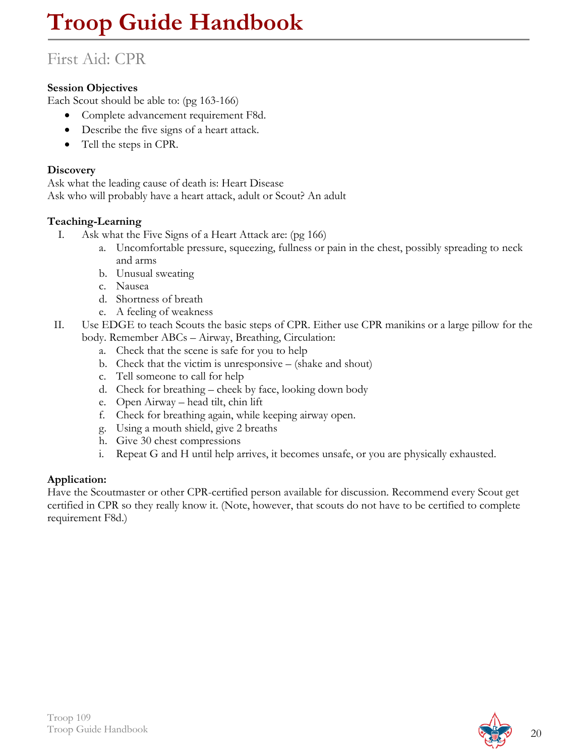### First Aid: CPR

#### **Session Objectives**

Each Scout should be able to: (pg 163-166)

- Complete advancement requirement F8d.
- Describe the five signs of a heart attack.
- Tell the steps in CPR.

#### **Discovery**

Ask what the leading cause of death is: Heart Disease Ask who will probably have a heart attack, adult or Scout? An adult

#### **Teaching-Learning**

- I. Ask what the Five Signs of a Heart Attack are: (pg 166)
	- a. Uncomfortable pressure, squeezing, fullness or pain in the chest, possibly spreading to neck and arms
	- b. Unusual sweating
	- c. Nausea
	- d. Shortness of breath
	- e. A feeling of weakness
- II. Use EDGE to teach Scouts the basic steps of CPR. Either use CPR manikins or a large pillow for the body. Remember ABCs – Airway, Breathing, Circulation:
	- a. Check that the scene is safe for you to help
	- b. Check that the victim is unresponsive (shake and shout)
	- c. Tell someone to call for help
	- d. Check for breathing cheek by face, looking down body
	- e. Open Airway head tilt, chin lift
	- f. Check for breathing again, while keeping airway open.
	- g. Using a mouth shield, give 2 breaths
	- h. Give 30 chest compressions
	- i. Repeat G and H until help arrives, it becomes unsafe, or you are physically exhausted.

#### **Application:**

Have the Scoutmaster or other CPR-certified person available for discussion. Recommend every Scout get certified in CPR so they really know it. (Note, however, that scouts do not have to be certified to complete requirement F8d.)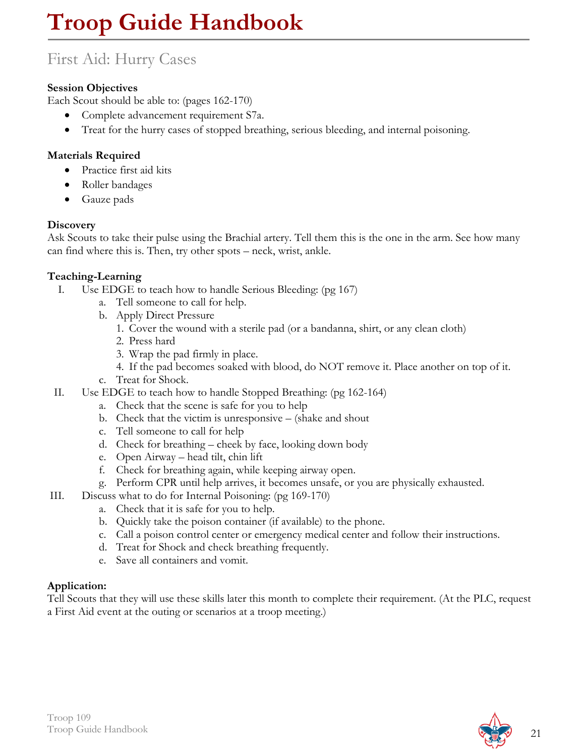### First Aid: Hurry Cases

#### **Session Objectives**

Each Scout should be able to: (pages 162-170)

- Complete advancement requirement S7a.
- Treat for the hurry cases of stopped breathing, serious bleeding, and internal poisoning.

#### **Materials Required**

- Practice first aid kits
- Roller bandages
- Gauze pads

#### **Discovery**

Ask Scouts to take their pulse using the Brachial artery. Tell them this is the one in the arm. See how many can find where this is. Then, try other spots – neck, wrist, ankle.

#### **Teaching-Learning**

- I. Use EDGE to teach how to handle Serious Bleeding: (pg 167)
	- a. Tell someone to call for help.
	- b. Apply Direct Pressure
		- 1. Cover the wound with a sterile pad (or a bandanna, shirt, or any clean cloth)
		- 2. Press hard
		- 3. Wrap the pad firmly in place.
		- 4. If the pad becomes soaked with blood, do NOT remove it. Place another on top of it.
	- c. Treat for Shock.
- II. Use EDGE to teach how to handle Stopped Breathing: (pg 162-164)
	- a. Check that the scene is safe for you to help
	- b. Check that the victim is unresponsive (shake and shout
	- c. Tell someone to call for help
	- d. Check for breathing cheek by face, looking down body
	- e. Open Airway head tilt, chin lift
	- f. Check for breathing again, while keeping airway open.
	- g. Perform CPR until help arrives, it becomes unsafe, or you are physically exhausted.
- III. Discuss what to do for Internal Poisoning: (pg 169-170)
	- a. Check that it is safe for you to help.
	- b. Quickly take the poison container (if available) to the phone.
	- c. Call a poison control center or emergency medical center and follow their instructions.
	- d. Treat for Shock and check breathing frequently.
	- e. Save all containers and vomit.

#### **Application:**

Tell Scouts that they will use these skills later this month to complete their requirement. (At the PLC, request a First Aid event at the outing or scenarios at a troop meeting.)

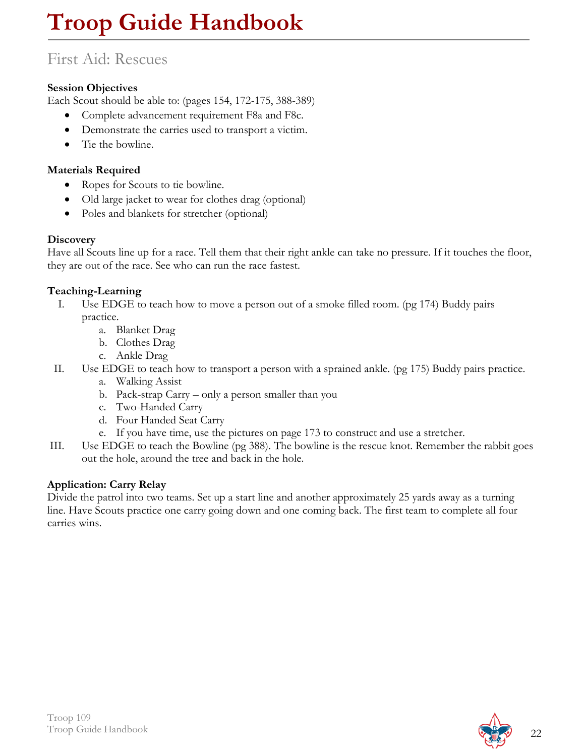### First Aid: Rescues

#### **Session Objectives**

Each Scout should be able to: (pages 154, 172-175, 388-389)

- Complete advancement requirement F8a and F8c.
- Demonstrate the carries used to transport a victim.
- Tie the bowline.

#### **Materials Required**

- Ropes for Scouts to tie bowline.
- Old large jacket to wear for clothes drag (optional)
- Poles and blankets for stretcher (optional)

#### **Discovery**

Have all Scouts line up for a race. Tell them that their right ankle can take no pressure. If it touches the floor, they are out of the race. See who can run the race fastest.

#### **Teaching-Learning**

- I. Use EDGE to teach how to move a person out of a smoke filled room. (pg 174) Buddy pairs practice.
	- a. Blanket Drag
	- b. Clothes Drag
	- c. Ankle Drag
- II. Use EDGE to teach how to transport a person with a sprained ankle. (pg 175) Buddy pairs practice.
	- a. Walking Assist
	- b. Pack-strap Carry only a person smaller than you
	- c. Two-Handed Carry
	- d. Four Handed Seat Carry
	- e. If you have time, use the pictures on page 173 to construct and use a stretcher.
- III. Use EDGE to teach the Bowline (pg 388). The bowline is the rescue knot. Remember the rabbit goes out the hole, around the tree and back in the hole.

#### **Application: Carry Relay**

Divide the patrol into two teams. Set up a start line and another approximately 25 yards away as a turning line. Have Scouts practice one carry going down and one coming back. The first team to complete all four carries wins.

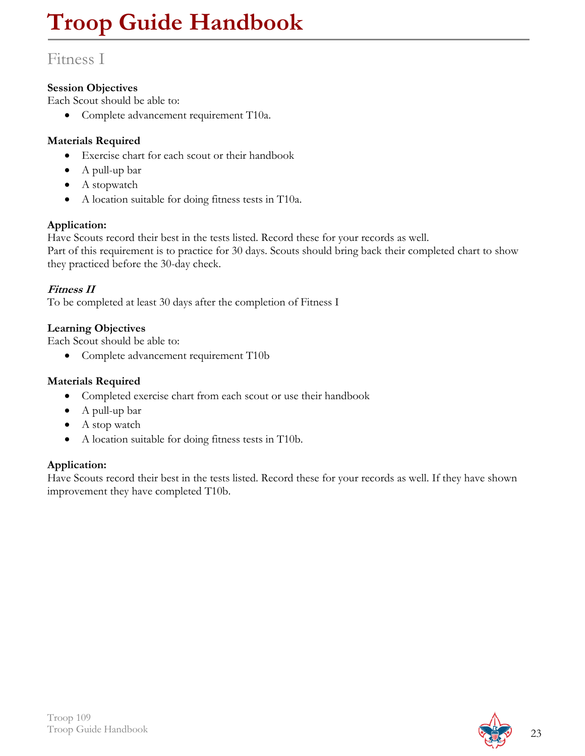### Fitness I

#### **Session Objectives**

Each Scout should be able to:

Complete advancement requirement T10a.

#### **Materials Required**

- Exercise chart for each scout or their handbook
- A pull-up bar
- A stopwatch
- A location suitable for doing fitness tests in T10a.

#### **Application:**

Have Scouts record their best in the tests listed. Record these for your records as well.

Part of this requirement is to practice for 30 days. Scouts should bring back their completed chart to show they practiced before the 30-day check.

#### **Fitness II**

To be completed at least 30 days after the completion of Fitness I

#### **Learning Objectives**

Each Scout should be able to:

• Complete advancement requirement T10b

#### **Materials Required**

- Completed exercise chart from each scout or use their handbook
- A pull-up bar
- A stop watch
- A location suitable for doing fitness tests in T10b.

#### **Application:**

Have Scouts record their best in the tests listed. Record these for your records as well. If they have shown improvement they have completed T10b.

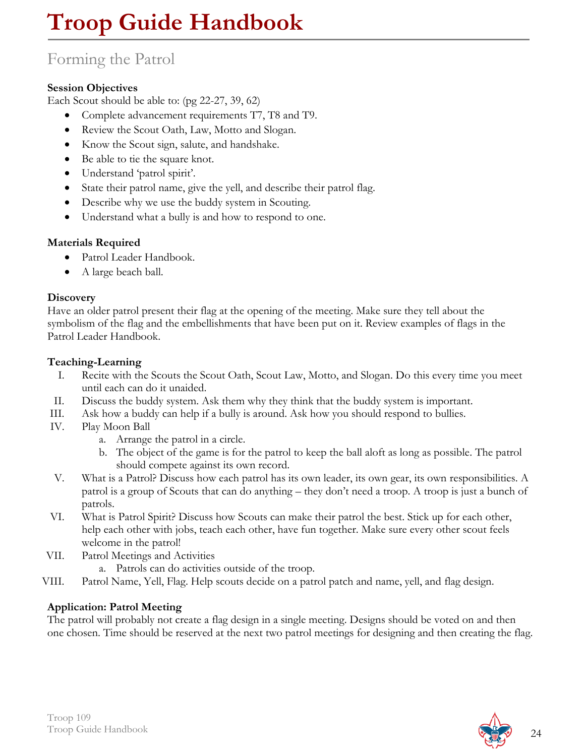### Forming the Patrol

#### **Session Objectives**

Each Scout should be able to: (pg 22-27, 39, 62)

- Complete advancement requirements T7, T8 and T9.
- Review the Scout Oath, Law, Motto and Slogan.
- Know the Scout sign, salute, and handshake.
- Be able to tie the square knot.
- Understand 'patrol spirit'.
- State their patrol name, give the yell, and describe their patrol flag.
- Describe why we use the buddy system in Scouting.
- Understand what a bully is and how to respond to one.

#### **Materials Required**

- Patrol Leader Handbook.
- A large beach ball.

#### **Discovery**

Have an older patrol present their flag at the opening of the meeting. Make sure they tell about the symbolism of the flag and the embellishments that have been put on it. Review examples of flags in the Patrol Leader Handbook.

#### **Teaching-Learning**

- I. Recite with the Scouts the Scout Oath, Scout Law, Motto, and Slogan. Do this every time you meet until each can do it unaided.
- II. Discuss the buddy system. Ask them why they think that the buddy system is important.
- III. Ask how a buddy can help if a bully is around. Ask how you should respond to bullies.
- IV. Play Moon Ball
	- a. Arrange the patrol in a circle.
	- b. The object of the game is for the patrol to keep the ball aloft as long as possible. The patrol should compete against its own record.
- V. What is a Patrol? Discuss how each patrol has its own leader, its own gear, its own responsibilities. A patrol is a group of Scouts that can do anything – they don't need a troop. A troop is just a bunch of patrols.
- VI. What is Patrol Spirit? Discuss how Scouts can make their patrol the best. Stick up for each other, help each other with jobs, teach each other, have fun together. Make sure every other scout feels welcome in the patrol!
- VII. Patrol Meetings and Activities
	- a. Patrols can do activities outside of the troop.
- VIII. Patrol Name, Yell, Flag. Help scouts decide on a patrol patch and name, yell, and flag design.

#### **Application: Patrol Meeting**

The patrol will probably not create a flag design in a single meeting. Designs should be voted on and then one chosen. Time should be reserved at the next two patrol meetings for designing and then creating the flag.

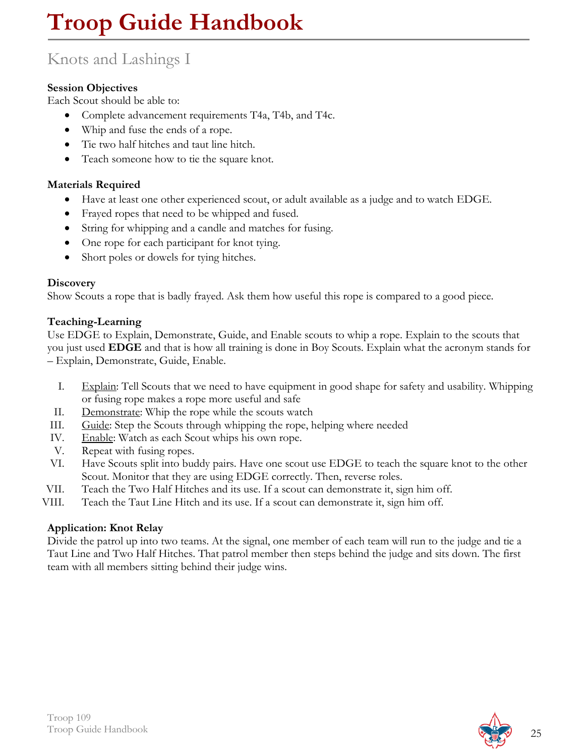### Knots and Lashings I

#### **Session Objectives**

Each Scout should be able to:

- Complete advancement requirements T4a, T4b, and T4c.
- Whip and fuse the ends of a rope.
- Tie two half hitches and taut line hitch.
- Teach someone how to tie the square knot.

#### **Materials Required**

- Have at least one other experienced scout, or adult available as a judge and to watch EDGE.
- Frayed ropes that need to be whipped and fused.
- String for whipping and a candle and matches for fusing.
- One rope for each participant for knot tying.
- Short poles or dowels for tying hitches.

#### **Discovery**

Show Scouts a rope that is badly frayed. Ask them how useful this rope is compared to a good piece.

#### **Teaching-Learning**

Use EDGE to Explain, Demonstrate, Guide, and Enable scouts to whip a rope. Explain to the scouts that you just used **EDGE** and that is how all training is done in Boy Scouts. Explain what the acronym stands for – Explain, Demonstrate, Guide, Enable.

- I. Explain: Tell Scouts that we need to have equipment in good shape for safety and usability. Whipping or fusing rope makes a rope more useful and safe
- II. Demonstrate: Whip the rope while the scouts watch
- III. Guide: Step the Scouts through whipping the rope, helping where needed
- IV. Enable: Watch as each Scout whips his own rope.
- V. Repeat with fusing ropes.
- VI. Have Scouts split into buddy pairs. Have one scout use EDGE to teach the square knot to the other Scout. Monitor that they are using EDGE correctly. Then, reverse roles.
- VII. Teach the Two Half Hitches and its use. If a scout can demonstrate it, sign him off.
- VIII. Teach the Taut Line Hitch and its use. If a scout can demonstrate it, sign him off.

#### **Application: Knot Relay**

Divide the patrol up into two teams. At the signal, one member of each team will run to the judge and tie a Taut Line and Two Half Hitches. That patrol member then steps behind the judge and sits down. The first team with all members sitting behind their judge wins.



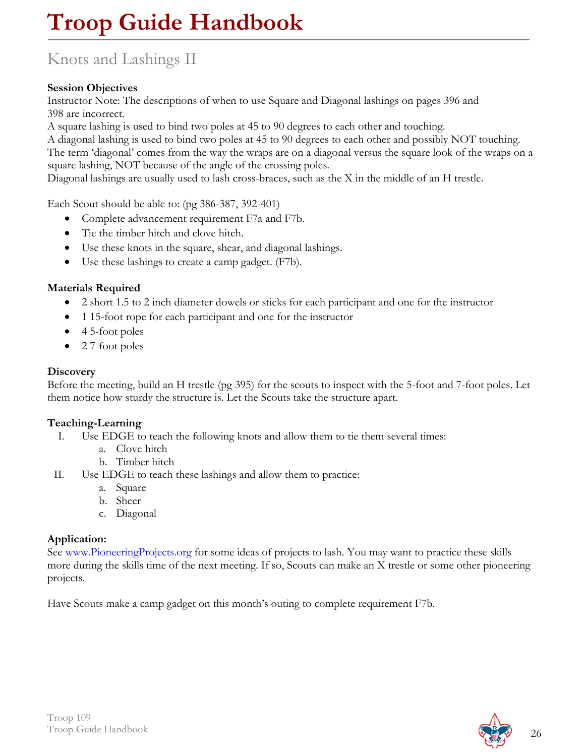### Knots and Lashings II

#### **Session Objectives**

Instructor Note: The descriptions of when to use Square and Diagonal lashings on pages 396 and 398 are incorrect.

A square lashing is used to bind two poles at 45 to 90 degrees to each other and touching.

A diagonal lashing is used to bind two poles at 45 to 90 degrees to each other and possibly NOT touching. The term 'diagonal' comes from the way the wraps are on a diagonal versus the square look of the wraps on a square lashing, NOT because of the angle of the crossing poles.

Diagonal lashings are usually used to lash cross-braces, such as the X in the middle of an H trestle.

Each Scout should be able to: (pg 386-387, 392-401)

- Complete advancement requirement F7a and F7b.
- Tie the timber hitch and clove hitch.
- Use these knots in the square, shear, and diagonal lashings.
- Use these lashings to create a camp gadget. (F7b).

#### **Materials Required**

- 2 short 1.5 to 2 inch diameter dowels or sticks for each participant and one for the instructor
- 1 15-foot rope for each participant and one for the instructor
- $\bullet$  4 5-foot poles
- 27-foot poles

#### **Discovery**

Before the meeting, build an H trestle (pg 395) for the scouts to inspect with the 5-foot and 7-foot poles. Let them notice how sturdy the structure is. Let the Scouts take the structure apart.

#### **Teaching-Learning**

- I. Use EDGE to teach the following knots and allow them to tie them several times:
	- a. Clove hitch
	- b. Timber hitch
- II. Use EDGE to teach these lashings and allow them to practice:
	- a. Square
	- b. Sheer
	- c. Diagonal

#### **Application:**

See www.PioneeringProjects.org for some ideas of projects to lash. You may want to practice these skills more during the skills time of the next meeting. If so, Scouts can make an X trestle or some other pioneering projects.

Have Scouts make a camp gadget on this month's outing to complete requirement F7b.

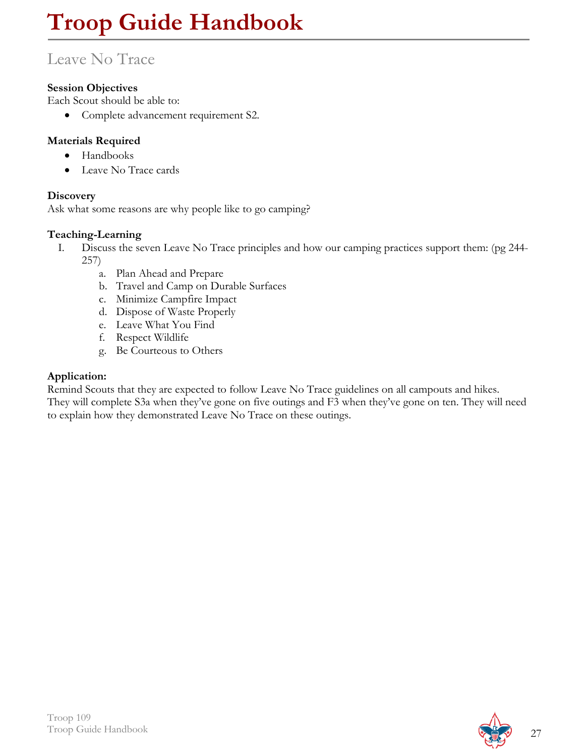### Leave No Trace

#### **Session Objectives**

Each Scout should be able to:

• Complete advancement requirement S2.

#### **Materials Required**

- Handbooks
- Leave No Trace cards

#### **Discovery**

Ask what some reasons are why people like to go camping?

#### **Teaching-Learning**

- I. Discuss the seven Leave No Trace principles and how our camping practices support them: (pg 244- 257)
	- a. Plan Ahead and Prepare
	- b. Travel and Camp on Durable Surfaces
	- c. Minimize Campfire Impact
	- d. Dispose of Waste Properly
	- e. Leave What You Find
	- f. Respect Wildlife
	- g. Be Courteous to Others

#### **Application:**

Remind Scouts that they are expected to follow Leave No Trace guidelines on all campouts and hikes. They will complete S3a when they've gone on five outings and F3 when they've gone on ten. They will need to explain how they demonstrated Leave No Trace on these outings.

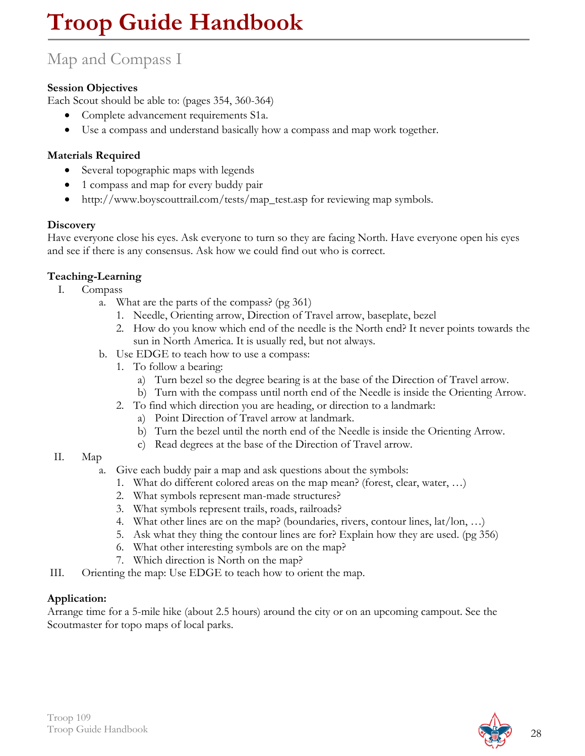### Map and Compass I

#### **Session Objectives**

Each Scout should be able to: (pages 354, 360-364)

- Complete advancement requirements S1a.
- Use a compass and understand basically how a compass and map work together.

#### **Materials Required**

- Several topographic maps with legends
- 1 compass and map for every buddy pair
- http://www.boyscouttrail.com/tests/map\_test.asp for reviewing map symbols.

#### **Discovery**

Have everyone close his eyes. Ask everyone to turn so they are facing North. Have everyone open his eyes and see if there is any consensus. Ask how we could find out who is correct.

#### **Teaching-Learning**

- I. Compass
	- a. What are the parts of the compass? (pg 361)
		- 1. Needle, Orienting arrow, Direction of Travel arrow, baseplate, bezel
		- 2. How do you know which end of the needle is the North end? It never points towards the sun in North America. It is usually red, but not always.
	- b. Use EDGE to teach how to use a compass:
		- 1. To follow a bearing:
			- a) Turn bezel so the degree bearing is at the base of the Direction of Travel arrow.
			- b) Turn with the compass until north end of the Needle is inside the Orienting Arrow.
		- 2. To find which direction you are heading, or direction to a landmark:
			- a) Point Direction of Travel arrow at landmark.
			- b) Turn the bezel until the north end of the Needle is inside the Orienting Arrow.
			- c) Read degrees at the base of the Direction of Travel arrow.

#### II. Map

- a. Give each buddy pair a map and ask questions about the symbols:
	- 1. What do different colored areas on the map mean? (forest, clear, water, …)
	- 2. What symbols represent man-made structures?
	- 3. What symbols represent trails, roads, railroads?
	- 4. What other lines are on the map? (boundaries, rivers, contour lines, lat/lon, …)
	- 5. Ask what they thing the contour lines are for? Explain how they are used. (pg 356)
	- 6. What other interesting symbols are on the map?
	- 7. Which direction is North on the map?
- III. Orienting the map: Use EDGE to teach how to orient the map.

#### **Application:**

Arrange time for a 5-mile hike (about 2.5 hours) around the city or on an upcoming campout. See the Scoutmaster for topo maps of local parks.

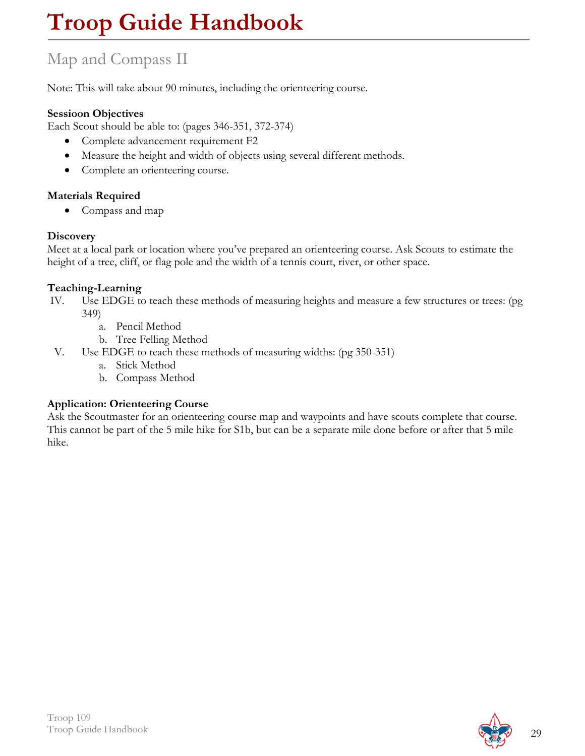### Map and Compass II

Note: This will take about 90 minutes, including the orienteering course.

#### **Sessioon Objectives**

Each Scout should be able to: (pages 346-351, 372-374)

- Complete advancement requirement F2
- Measure the height and width of objects using several different methods.
- Complete an orienteering course.

#### **Materials Required**

• Compass and map

#### **Discovery**

Meet at a local park or location where you've prepared an orienteering course. Ask Scouts to estimate the height of a tree, cliff, or flag pole and the width of a tennis court, river, or other space.

#### **Teaching-Learning**

- IV. Use EDGE to teach these methods of measuring heights and measure a few structures or trees: (pg 349)
	- a. Pencil Method
	- b. Tree Felling Method
- V. Use EDGE to teach these methods of measuring widths: (pg 350-351)
	- a. Stick Method
	- b. Compass Method

#### **Application: Orienteering Course**

Ask the Scoutmaster for an orienteering course map and waypoints and have scouts complete that course. This cannot be part of the 5 mile hike for S1b, but can be a separate mile done before or after that 5 mile hike.

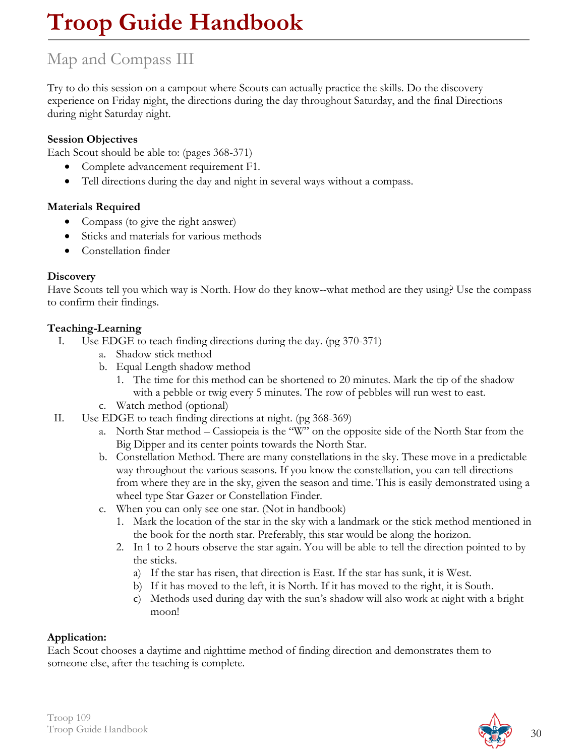### Map and Compass III

Try to do this session on a campout where Scouts can actually practice the skills. Do the discovery experience on Friday night, the directions during the day throughout Saturday, and the final Directions during night Saturday night.

#### **Session Objectives**

Each Scout should be able to: (pages 368-371)

- Complete advancement requirement F1.
- Tell directions during the day and night in several ways without a compass.

#### **Materials Required**

- Compass (to give the right answer)
- Sticks and materials for various methods
- Constellation finder

#### **Discovery**

Have Scouts tell you which way is North. How do they know--what method are they using? Use the compass to confirm their findings.

#### **Teaching-Learning**

- I. Use EDGE to teach finding directions during the day. (pg 370-371)
	- a. Shadow stick method
	- b. Equal Length shadow method
		- 1. The time for this method can be shortened to 20 minutes. Mark the tip of the shadow with a pebble or twig every 5 minutes. The row of pebbles will run west to east.
	- c. Watch method (optional)
- II. Use EDGE to teach finding directions at night. (pg 368-369)
	- a. North Star method Cassiopeia is the "W" on the opposite side of the North Star from the Big Dipper and its center points towards the North Star.
	- b. Constellation Method. There are many constellations in the sky. These move in a predictable way throughout the various seasons. If you know the constellation, you can tell directions from where they are in the sky, given the season and time. This is easily demonstrated using a wheel type Star Gazer or Constellation Finder.
	- c. When you can only see one star. (Not in handbook)
		- 1. Mark the location of the star in the sky with a landmark or the stick method mentioned in the book for the north star. Preferably, this star would be along the horizon.
		- 2. In 1 to 2 hours observe the star again. You will be able to tell the direction pointed to by the sticks.
			- a) If the star has risen, that direction is East. If the star has sunk, it is West.
			- b) If it has moved to the left, it is North. If it has moved to the right, it is South.
			- c) Methods used during day with the sun's shadow will also work at night with a bright moon!

#### **Application:**

Each Scout chooses a daytime and nighttime method of finding direction and demonstrates them to someone else, after the teaching is complete.

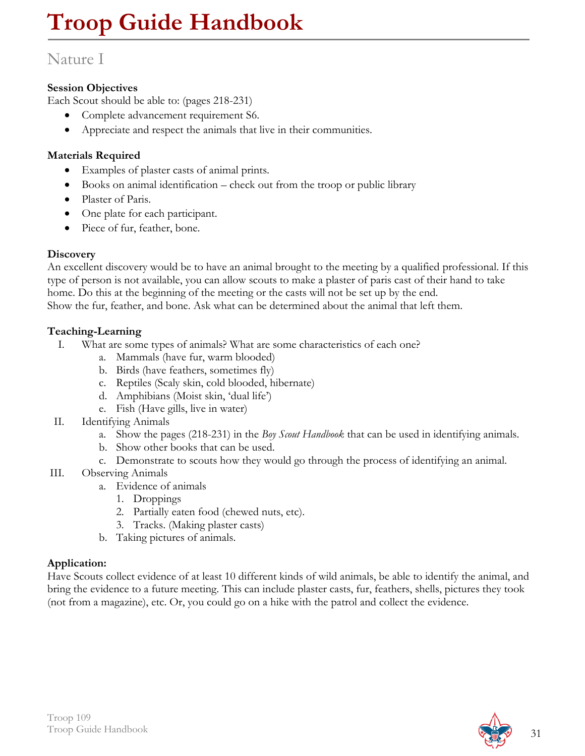### Nature I

#### **Session Objectives**

Each Scout should be able to: (pages 218-231)

- Complete advancement requirement S6.
- Appreciate and respect the animals that live in their communities.

#### **Materials Required**

- Examples of plaster casts of animal prints.
- Books on animal identification check out from the troop or public library
- Plaster of Paris.
- One plate for each participant.
- Piece of fur, feather, bone.

#### **Discovery**

An excellent discovery would be to have an animal brought to the meeting by a qualified professional. If this type of person is not available, you can allow scouts to make a plaster of paris cast of their hand to take home. Do this at the beginning of the meeting or the casts will not be set up by the end. Show the fur, feather, and bone. Ask what can be determined about the animal that left them.

#### **Teaching-Learning**

- I. What are some types of animals? What are some characteristics of each one?
	- a. Mammals (have fur, warm blooded)
	- b. Birds (have feathers, sometimes fly)
	- c. Reptiles (Scaly skin, cold blooded, hibernate)
	- d. Amphibians (Moist skin, 'dual life')
	- e. Fish (Have gills, live in water)
- II. Identifying Animals
	- a. Show the pages (218-231) in the *Boy Scout Handbook* that can be used in identifying animals.
	- b. Show other books that can be used.
	- c. Demonstrate to scouts how they would go through the process of identifying an animal.
- III. Observing Animals
	- a. Evidence of animals
		- 1. Droppings
		- 2. Partially eaten food (chewed nuts, etc).
		- 3. Tracks. (Making plaster casts)
	- b. Taking pictures of animals.

#### **Application:**

Have Scouts collect evidence of at least 10 different kinds of wild animals, be able to identify the animal, and bring the evidence to a future meeting. This can include plaster casts, fur, feathers, shells, pictures they took (not from a magazine), etc. Or, you could go on a hike with the patrol and collect the evidence.

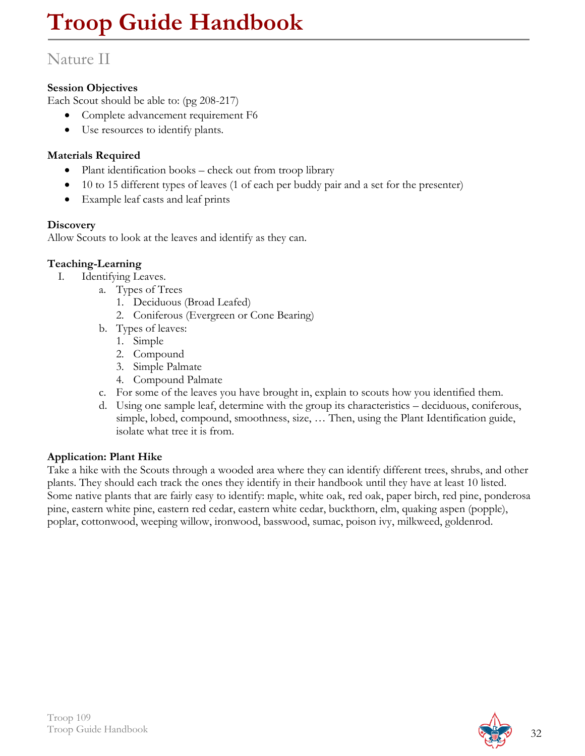### Nature II

#### **Session Objectives**

Each Scout should be able to: (pg 208-217)

- Complete advancement requirement F6
- Use resources to identify plants.

#### **Materials Required**

- Plant identification books check out from troop library
- 10 to 15 different types of leaves (1 of each per buddy pair and a set for the presenter)
- Example leaf casts and leaf prints

#### **Discovery**

Allow Scouts to look at the leaves and identify as they can.

#### **Teaching-Learning**

- I. Identifying Leaves.
	- a. Types of Trees
		- 1. Deciduous (Broad Leafed)
		- 2. Coniferous (Evergreen or Cone Bearing)
	- b. Types of leaves:
		- 1. Simple
		- 2. Compound
		- 3. Simple Palmate
		- 4. Compound Palmate
	- c. For some of the leaves you have brought in, explain to scouts how you identified them.
	- d. Using one sample leaf, determine with the group its characteristics deciduous, coniferous, simple, lobed, compound, smoothness, size, … Then, using the Plant Identification guide, isolate what tree it is from.

#### **Application: Plant Hike**

Take a hike with the Scouts through a wooded area where they can identify different trees, shrubs, and other plants. They should each track the ones they identify in their handbook until they have at least 10 listed. Some native plants that are fairly easy to identify: maple, white oak, red oak, paper birch, red pine, ponderosa pine, eastern white pine, eastern red cedar, eastern white cedar, buckthorn, elm, quaking aspen (popple), poplar, cottonwood, weeping willow, ironwood, basswood, sumac, poison ivy, milkweed, goldenrod.

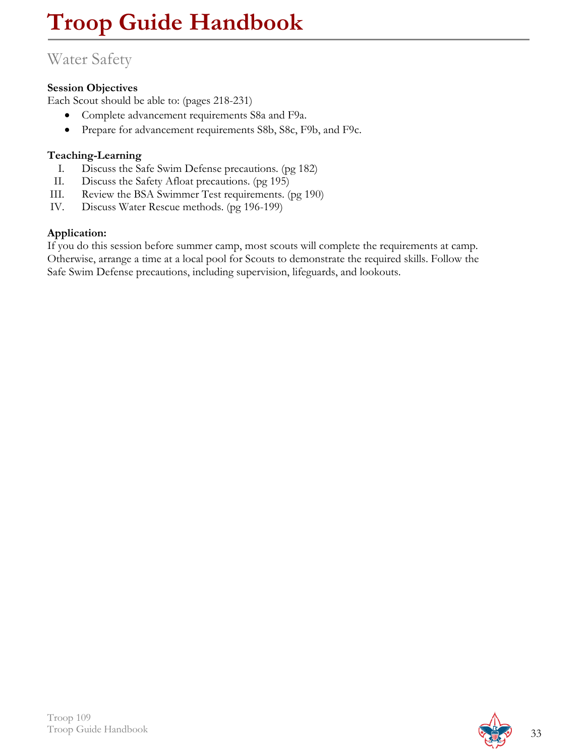### Water Safety

#### **Session Objectives**

Each Scout should be able to: (pages 218-231)

- Complete advancement requirements S8a and F9a.
- Prepare for advancement requirements S8b, S8c, F9b, and F9c.

#### **Teaching-Learning**

- I. Discuss the Safe Swim Defense precautions. (pg 182)
- II. Discuss the Safety Afloat precautions. (pg 195)
- III. Review the BSA Swimmer Test requirements. (pg 190)
- IV. Discuss Water Rescue methods. (pg 196-199)

#### **Application:**

If you do this session before summer camp, most scouts will complete the requirements at camp. Otherwise, arrange a time at a local pool for Scouts to demonstrate the required skills. Follow the Safe Swim Defense precautions, including supervision, lifeguards, and lookouts.

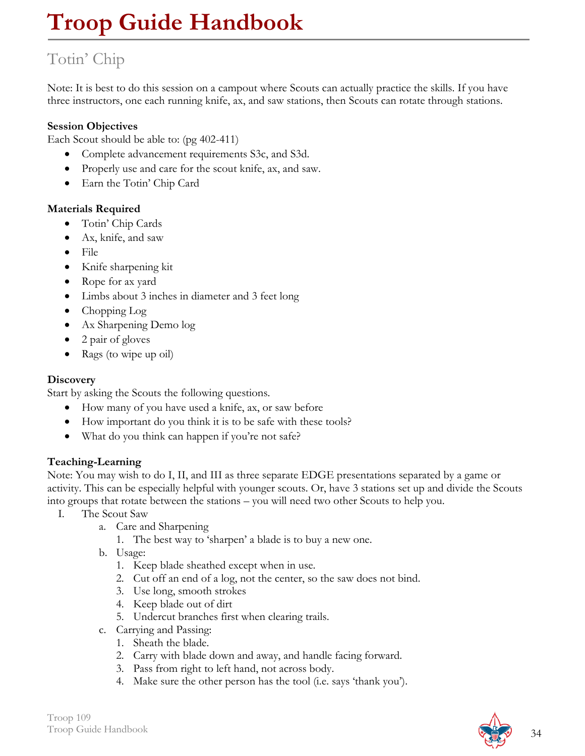### Totin' Chip

Note: It is best to do this session on a campout where Scouts can actually practice the skills. If you have three instructors, one each running knife, ax, and saw stations, then Scouts can rotate through stations.

#### **Session Objectives**

Each Scout should be able to: (pg 402-411)

- Complete advancement requirements S3c, and S3d.
- Properly use and care for the scout knife, ax, and saw.
- Earn the Totin' Chip Card

#### **Materials Required**

- Totin' Chip Cards
- Ax, knife, and saw
- File
- Knife sharpening kit
- Rope for ax yard
- Limbs about 3 inches in diameter and 3 feet long
- Chopping Log
- Ax Sharpening Demo log
- 2 pair of gloves
- Rags (to wipe up oil)

#### **Discovery**

Start by asking the Scouts the following questions.

- How many of you have used a knife, ax, or saw before
- How important do you think it is to be safe with these tools?
- What do you think can happen if you're not safe?

#### **Teaching-Learning**

Note: You may wish to do I, II, and III as three separate EDGE presentations separated by a game or activity. This can be especially helpful with younger scouts. Or, have 3 stations set up and divide the Scouts into groups that rotate between the stations – you will need two other Scouts to help you.

- I. The Scout Saw
	- a. Care and Sharpening
		- 1. The best way to 'sharpen' a blade is to buy a new one.
	- b. Usage:
		- 1. Keep blade sheathed except when in use.
		- 2. Cut off an end of a log, not the center, so the saw does not bind.
		- 3. Use long, smooth strokes
		- 4. Keep blade out of dirt
		- 5. Undercut branches first when clearing trails.
	- c. Carrying and Passing:
		- 1. Sheath the blade.
		- 2. Carry with blade down and away, and handle facing forward.
		- 3. Pass from right to left hand, not across body.
		- 4. Make sure the other person has the tool (i.e. says 'thank you').

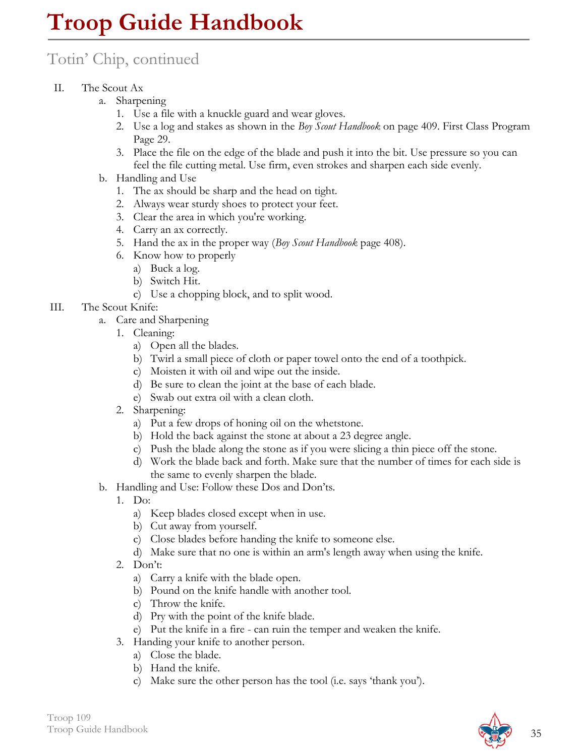### Totin' Chip, continued

- II. The Scout Ax
	- a. Sharpening
		- 1. Use a file with a knuckle guard and wear gloves.
		- 2. Use a log and stakes as shown in the *Boy Scout Handbook* on page 409. First Class Program Page 29.
		- 3. Place the file on the edge of the blade and push it into the bit. Use pressure so you can feel the file cutting metal. Use firm, even strokes and sharpen each side evenly.
	- b. Handling and Use
		- 1. The ax should be sharp and the head on tight.
		- 2. Always wear sturdy shoes to protect your feet.
		- 3. Clear the area in which you're working.
		- 4. Carry an ax correctly.
		- 5. Hand the ax in the proper way (*Boy Scout Handbook* page 408).
		- 6. Know how to properly
			- a) Buck a log.
			- b) Switch Hit.
			- c) Use a chopping block, and to split wood.
- III. The Scout Knife:
	- a. Care and Sharpening
		- 1. Cleaning:
			- a) Open all the blades.
			- b) Twirl a small piece of cloth or paper towel onto the end of a toothpick.
			- c) Moisten it with oil and wipe out the inside.
			- d) Be sure to clean the joint at the base of each blade.
			- e) Swab out extra oil with a clean cloth.
		- 2. Sharpening:
			- a) Put a few drops of honing oil on the whetstone.
			- b) Hold the back against the stone at about a 23 degree angle.
			- c) Push the blade along the stone as if you were slicing a thin piece off the stone.
			- d) Work the blade back and forth. Make sure that the number of times for each side is the same to evenly sharpen the blade.
	- b. Handling and Use: Follow these Dos and Don'ts.
		- 1. Do:
			- a) Keep blades closed except when in use.
			- b) Cut away from yourself.
			- c) Close blades before handing the knife to someone else.
			- d) Make sure that no one is within an arm's length away when using the knife.
		- 2. Don't:
			- a) Carry a knife with the blade open.
			- b) Pound on the knife handle with another tool.
			- c) Throw the knife.
			- d) Pry with the point of the knife blade.
			- e) Put the knife in a fire can ruin the temper and weaken the knife.
		- 3. Handing your knife to another person.
			- a) Close the blade.
			- b) Hand the knife.
			- c) Make sure the other person has the tool (i.e. says 'thank you').

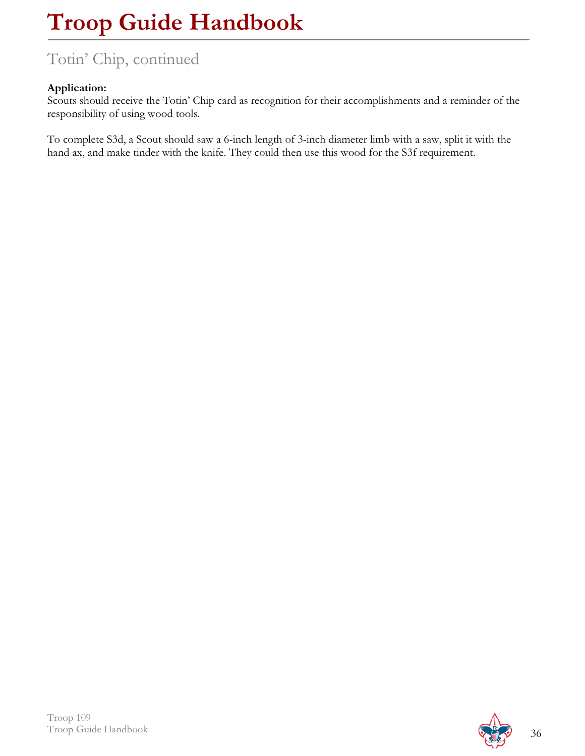### Totin' Chip, continued

#### **Application:**

Scouts should receive the Totin' Chip card as recognition for their accomplishments and a reminder of the responsibility of using wood tools.

To complete S3d, a Scout should saw a 6-inch length of 3-inch diameter limb with a saw, split it with the hand ax, and make tinder with the knife. They could then use this wood for the S3f requirement.

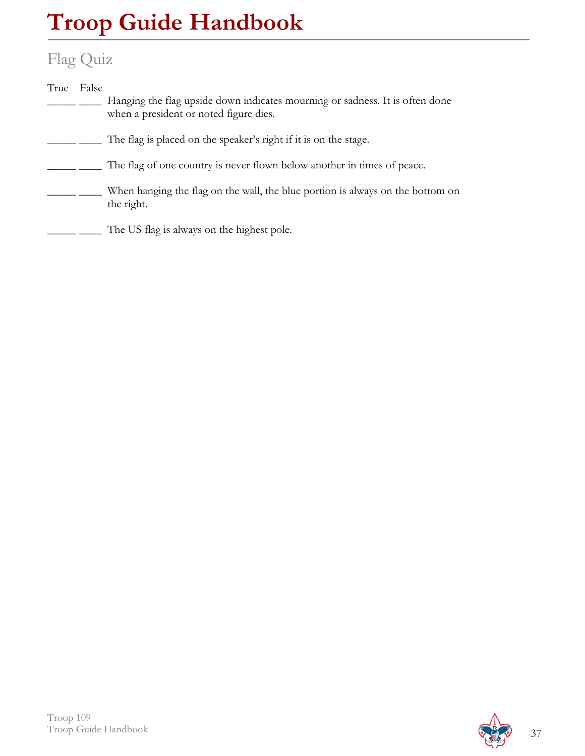### Flag Quiz

True False Hanging the flag upside down indicates mourning or sadness. It is often done when a president or noted figure dies. \_\_\_\_\_ \_\_\_\_ The flag is placed on the speaker's right if it is on the stage. \_\_\_\_\_ \_\_\_\_ The flag of one country is never flown below another in times of peace. When hanging the flag on the wall, the blue portion is always on the bottom on the right. \_\_\_\_\_ \_\_\_\_ The US flag is always on the highest pole.

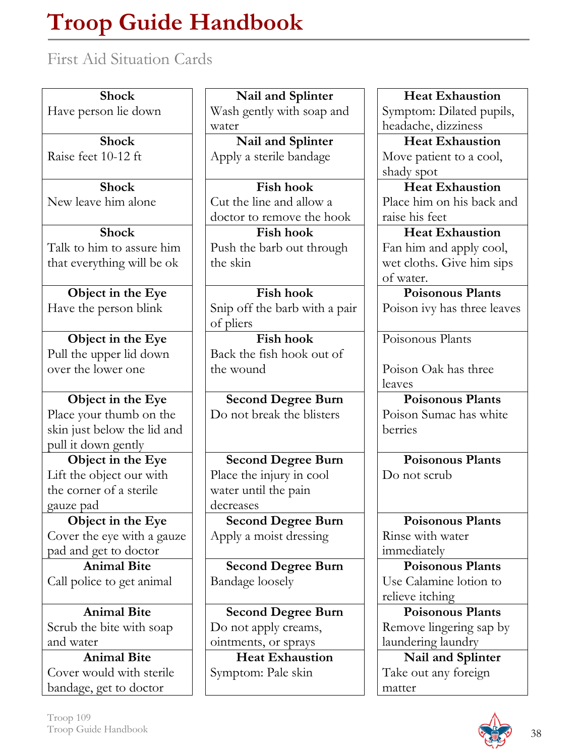First Aid Situation Cards

**Shock** Have person lie down **Nail and Splinter** Wash gently with soap and water **Heat Exhaustion** headache, dizziness **Shock** Raise feet 10-12 ft **Nail and Splinter** Apply a sterile bandage **Heat Exhaustion** Move patient to a cool, shady spot **Shock** New leave him alone **Fish hook** Cut the line and allow a doctor to remove the hook **Heat Exhaustion** raise his feet **Shock** Talk to him to assure him that everything will be ok **Fish hook** Push the barb out through the skin **Heat Exhaustion** Fan him and apply cool, of water. **Object in the Eye** Have the person blink **Fish hook** Snip off the barb with a pair of pliers **Poisonous Plants Object in the Eye** Pull the upper lid down over the lower one **Fish hook** Back the fish hook out of the wound Poisonous Plants Poison Oak has three leaves **Object in the Eye** Place your thumb on the skin just below the lid and pull it down gently **Second Degree Burn** Do not break the blisters **Poisonous Plants** Poison Sumac has white berries **Object in the Eye** Lift the object our with the corner of a sterile gauze pad **Second Degree Burn** Place the injury in cool water until the pain decreases **Poisonous Plants** Do not scrub **Object in the Eye** Cover the eye with a gauze pad and get to doctor **Second Degree Burn** Apply a moist dressing **Poisonous Plants** Rinse with water immediately **Animal Bite** Call police to get animal **Second Degree Burn** Bandage loosely **Poisonous Plants** Use Calamine lotion to relieve itching

**Animal Bite** Scrub the bite with soap and water

**Animal Bite** Cover would with sterile bandage, get to doctor

**Second Degree Burn** Do not apply creams, ointments, or sprays **Heat Exhaustion** Symptom: Pale skin

Symptom: Dilated pupils,

Place him on his back and

wet cloths. Give him sips

Poison ivy has three leaves

**Poisonous Plants** Remove lingering sap by laundering laundry

**Nail and Splinter** Take out any foreign matter